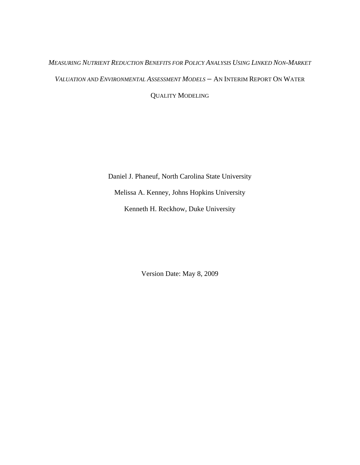# *MEASURING NUTRIENT REDUCTION BENEFITS FOR POLICY ANALYSIS USING LINKED NON-MARKET VALUATION AND ENVIRONMENTAL ASSESSMENT MODELS* - AN INTERIM REPORT ON WATER QUALITY MODELING

Daniel J. Phaneuf, North Carolina State University Melissa A. Kenney, Johns Hopkins University Kenneth H. Reckhow, Duke University

Version Date: May 8, 2009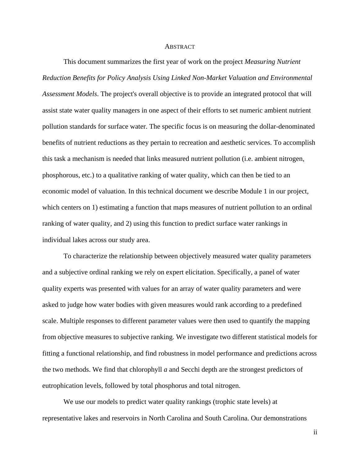#### **ABSTRACT**

 This document summarizes the first year of work on the project *Measuring Nutrient Reduction Benefits for Policy Analysis Using Linked Non-Market Valuation and Environmental Assessment Models*. The project's overall objective is to provide an integrated protocol that will assist state water quality managers in one aspect of their efforts to set numeric ambient nutrient pollution standards for surface water. The specific focus is on measuring the dollar-denominated benefits of nutrient reductions as they pertain to recreation and aesthetic services. To accomplish this task a mechanism is needed that links measured nutrient pollution (i.e. ambient nitrogen, phosphorous, etc.) to a qualitative ranking of water quality, which can then be tied to an economic model of valuation. In this technical document we describe Module 1 in our project, which centers on 1) estimating a function that maps measures of nutrient pollution to an ordinal ranking of water quality, and 2) using this function to predict surface water rankings in individual lakes across our study area.

 To characterize the relationship between objectively measured water quality parameters and a subjective ordinal ranking we rely on expert elicitation. Specifically, a panel of water quality experts was presented with values for an array of water quality parameters and were asked to judge how water bodies with given measures would rank according to a predefined scale. Multiple responses to different parameter values were then used to quantify the mapping from objective measures to subjective ranking. We investigate two different statistical models for fitting a functional relationship, and find robustness in model performance and predictions across the two methods. We find that chlorophyll *a* and Secchi depth are the strongest predictors of eutrophication levels, followed by total phosphorus and total nitrogen.

 We use our models to predict water quality rankings (trophic state levels) at representative lakes and reservoirs in North Carolina and South Carolina. Our demonstrations

ii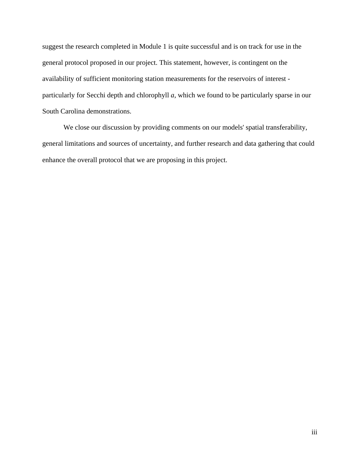suggest the research completed in Module 1 is quite successful and is on track for use in the general protocol proposed in our project. This statement, however, is contingent on the availability of sufficient monitoring station measurements for the reservoirs of interest particularly for Secchi depth and chlorophyll *a*, which we found to be particularly sparse in our South Carolina demonstrations.

 We close our discussion by providing comments on our models' spatial transferability, general limitations and sources of uncertainty, and further research and data gathering that could enhance the overall protocol that we are proposing in this project.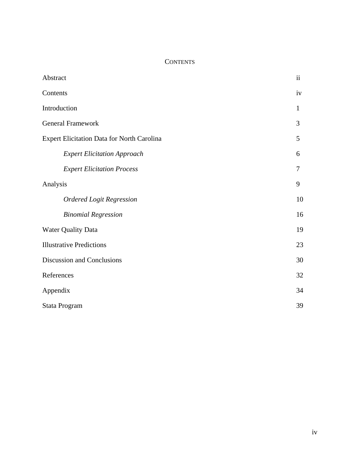## **CONTENTS**

| Abstract                                   | ii           |
|--------------------------------------------|--------------|
| Contents                                   | iv           |
| Introduction                               | $\mathbf{1}$ |
| <b>General Framework</b>                   | 3            |
| Expert Elicitation Data for North Carolina | 5            |
| <b>Expert Elicitation Approach</b>         | 6            |
| <b>Expert Elicitation Process</b>          | 7            |
| Analysis                                   | 9            |
| <b>Ordered Logit Regression</b>            | 10           |
| <b>Binomial Regression</b>                 | 16           |
| <b>Water Quality Data</b>                  | 19           |
| <b>Illustrative Predictions</b>            | 23           |
| Discussion and Conclusions                 | 30           |
| References                                 | 32           |
| Appendix                                   | 34           |
| Stata Program                              | 39           |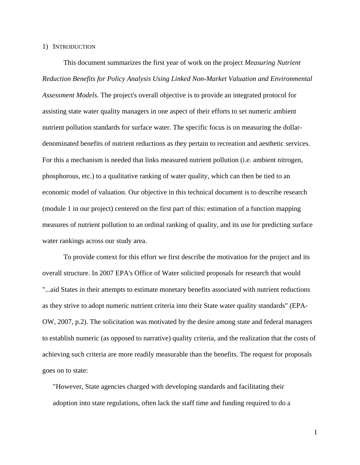#### 1) INTRODUCTION

 This document summarizes the first year of work on the project *Measuring Nutrient Reduction Benefits for Policy Analysis Using Linked Non-Market Valuation and Environmental Assessment Models*. The project's overall objective is to provide an integrated protocol for assisting state water quality managers in one aspect of their efforts to set numeric ambient nutrient pollution standards for surface water. The specific focus is on measuring the dollardenominated benefits of nutrient reductions as they pertain to recreation and aesthetic services. For this a mechanism is needed that links measured nutrient pollution (i.e. ambient nitrogen, phosphorous, etc.) to a qualitative ranking of water quality, which can then be tied to an economic model of valuation. Our objective in this technical document is to describe research (module 1 in our project) centered on the first part of this: estimation of a function mapping measures of nutrient pollution to an ordinal ranking of quality, and its use for predicting surface water rankings across our study area.

 To provide context for this effort we first describe the motivation for the project and its overall structure. In 2007 EPA's Office of Water solicited proposals for research that would "...aid States in their attempts to estimate monetary benefits associated with nutrient reductions as they strive to adopt numeric nutrient criteria into their State water quality standards" (EPA-OW, 2007, p.2). The solicitation was motivated by the desire among state and federal managers to establish numeric (as opposed to narrative) quality criteria, and the realization that the costs of achieving such criteria are more readily measurable than the benefits. The request for proposals goes on to state:

"However, State agencies charged with developing standards and facilitating their adoption into state regulations, often lack the staff time and funding required to do a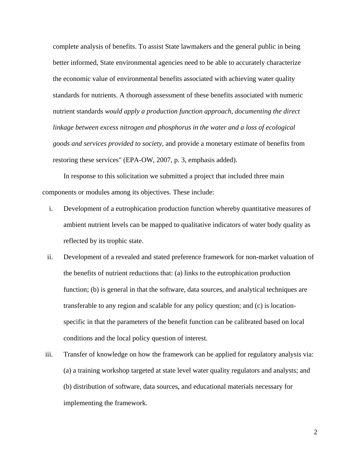complete analysis of benefits. To assist State lawmakers and the general public in being better informed, State environmental agencies need to be able to accurately characterize the economic value of environmental benefits associated with achieving water quality standards for nutrients. A thorough assessment of these benefits associated with numeric nutrient standards *would apply a production function approach, documenting the direct linkage between excess nitrogen and phosphorus in the water and a loss of ecological goods and services provided to society*, and provide a monetary estimate of benefits from restoring these services" (EPA-OW, 2007, p. 3, emphasis added).

 In response to this solicitation we submitted a project that included three main components or modules among its objectives. These include:

- i. Development of a eutrophication production function whereby quantitative measures of ambient nutrient levels can be mapped to qualitative indicators of water body quality as reflected by its trophic state.
- ii. Development of a revealed and stated preference framework for non-market valuation of the benefits of nutrient reductions that: (a) links to the eutrophication production function; (b) is general in that the software, data sources, and analytical techniques are transferable to any region and scalable for any policy question; and (c) is locationspecific in that the parameters of the benefit function can be calibrated based on local conditions and the local policy question of interest.
- iii. Transfer of knowledge on how the framework can be applied for regulatory analysis via: (a) a training workshop targeted at state level water quality regulators and analysts; and (b) distribution of software, data sources, and educational materials necessary for implementing the framework.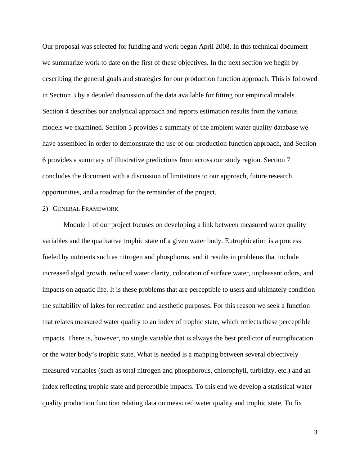Our proposal was selected for funding and work began April 2008. In this technical document we summarize work to date on the first of these objectives. In the next section we begin by describing the general goals and strategies for our production function approach. This is followed in Section 3 by a detailed discussion of the data available for fitting our empirical models. Section 4 describes our analytical approach and reports estimation results from the various models we examined. Section 5 provides a summary of the ambient water quality database we have assembled in order to demonstrate the use of our production function approach, and Section 6 provides a summary of illustrative predictions from across our study region. Section 7 concludes the document with a discussion of limitations to our approach, future research opportunities, and a roadmap for the remainder of the project.

## 2) GENERAL FRAMEWORK

 Module 1 of our project focuses on developing a link between measured water quality variables and the qualitative trophic state of a given water body. Eutrophication is a process fueled by nutrients such as nitrogen and phosphorus, and it results in problems that include increased algal growth, reduced water clarity, coloration of surface water, unpleasant odors, and impacts on aquatic life. It is these problems that are perceptible to users and ultimately condition the suitability of lakes for recreation and aesthetic purposes. For this reason we seek a function that relates measured water quality to an index of trophic state, which reflects these perceptible impacts. There is, however, no single variable that is always the best predictor of eutrophication or the water body's trophic state. What is needed is a mapping between several objectively measured variables (such as total nitrogen and phosphorous, chlorophyll, turbidity, etc.) and an index reflecting trophic state and perceptible impacts. To this end we develop a statistical water quality production function relating data on measured water quality and trophic state. To fix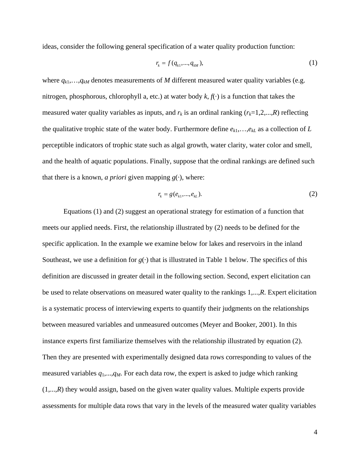ideas, consider the following general specification of a water quality production function:

$$
r_k = f(q_{k1},...,q_{kM}),
$$
 (1)

where  $q_{k1},...,q_{kM}$  denotes measurements of *M* different measured water quality variables (e.g. nitrogen, phosphorous, chlorophyll a, etc.) at water body  $k, f(\cdot)$  is a function that takes the measured water quality variables as inputs, and  $r_k$  is an ordinal ranking  $(r_k=1,2,...,R)$  reflecting the qualitative trophic state of the water body. Furthermore define *ek*1,…,*ekL* as a collection of *L* perceptible indicators of trophic state such as algal growth, water clarity, water color and smell, and the health of aquatic populations. Finally, suppose that the ordinal rankings are defined such that there is a known, *a priori* given mapping  $g(\cdot)$ , where:

$$
r_k = g(e_{k1},...,e_{kL}).
$$
\n(2)

 Equations (1) and (2) suggest an operational strategy for estimation of a function that meets our applied needs. First, the relationship illustrated by (2) needs to be defined for the specific application. In the example we examine below for lakes and reservoirs in the inland Southeast, we use a definition for  $g(\cdot)$  that is illustrated in Table 1 below. The specifics of this definition are discussed in greater detail in the following section. Second, expert elicitation can be used to relate observations on measured water quality to the rankings 1,...,*R*. Expert elicitation is a systematic process of interviewing experts to quantify their judgments on the relationships between measured variables and unmeasured outcomes (Meyer and Booker, 2001). In this instance experts first familiarize themselves with the relationship illustrated by equation (2). Then they are presented with experimentally designed data rows corresponding to values of the measured variables *q*1,...,*qM*. For each data row, the expert is asked to judge which ranking (1,...,*R*) they would assign, based on the given water quality values. Multiple experts provide assessments for multiple data rows that vary in the levels of the measured water quality variables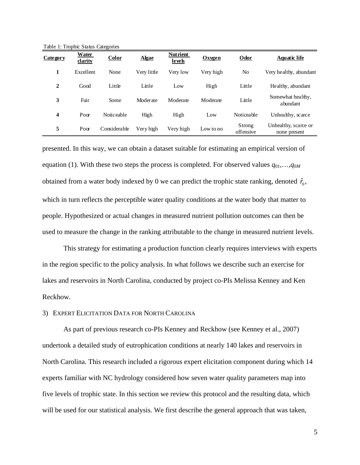Table 1: Trophic Status Categories

| Category | <b>Water</b><br>darity | Color        | <b>Algae</b> | <b>Nutrient</b><br><b>levels</b> | Oxvgen    | Odor                | <u>Aquatic life</u>                  |
|----------|------------------------|--------------|--------------|----------------------------------|-----------|---------------------|--------------------------------------|
| 1        | Excellent              | None         | Very little  | Very low                         | Very high | N <sub>0</sub>      | Very healthy, abundant               |
| 2        | Good                   | Little       | Little       | Low                              | High      | Little              | Healthy, abundant                    |
| 3        | Fair                   | Some         | Moderate     | Moderate                         | Moderate  | Little              | Somewhat healthy,<br>abundant        |
| 4        | Poor                   | Noticeable   | High         | High                             | Low       | Noticeable          | Unhealthy, scarce                    |
| 5        | Poor                   | Considerable | Very high    | Very high                        | Low to no | Strong<br>offensive | Unhealthy, scarce or<br>none present |

presented. In this way, we can obtain a dataset suitable for estimating an empirical version of equation (1). With these two steps the process is completed. For observed values  $q_{01},...,q_{0M}$ obtained from a water body indexed by 0 we can predict the trophic state ranking, denoted  $\hat{r}_0$ , which in turn reflects the perceptible water quality conditions at the water body that matter to people. Hypothesized or actual changes in measured nutrient pollution outcomes can then be used to measure the change in the ranking attributable to the change in measured nutrient levels.

 This strategy for estimating a production function clearly requires interviews with experts in the region specific to the policy analysis. In what follows we describe such an exercise for lakes and reservoirs in North Carolina, conducted by project co-PIs Melissa Kenney and Ken Reckhow.

## 3) EXPERT ELICITATION DATA FOR NORTH CAROLINA

 As part of previous research co-PIs Kenney and Reckhow (see Kenney et al., 2007) undertook a detailed study of eutrophication conditions at nearly 140 lakes and reservoirs in North Carolina. This research included a rigorous expert elicitation component during which 14 experts familiar with NC hydrology considered how seven water quality parameters map into five levels of trophic state. In this section we review this protocol and the resulting data, which will be used for our statistical analysis. We first describe the general approach that was taken,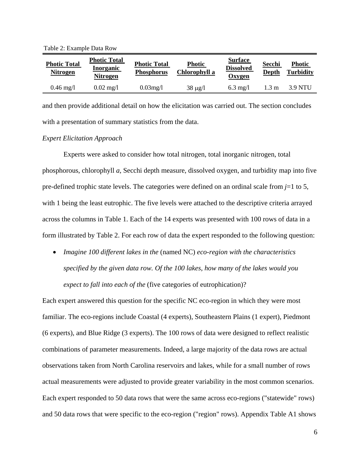Table 2: Example Data Row

| <b>Photic Total</b><br><b>Nitrogen</b> | <b>Photic Total</b><br><b>Inorganic</b><br><b>Nitrogen</b> | <b>Photic Total</b><br><b>Phosphorus</b> | <b>Photic</b><br>Chlorophyll a | <b>Surface</b><br><b>Dissolved</b><br>Oxygen | Secchi<br>Depth | <b>Photic</b><br><b>Turbidity</b> |
|----------------------------------------|------------------------------------------------------------|------------------------------------------|--------------------------------|----------------------------------------------|-----------------|-----------------------------------|
| $0.46 \text{ mg}/1$                    | $0.02 \text{ mg}/1$                                        | $0.03$ mg/l                              | $38 \mu g/l$                   | $6.3$ mg/l                                   | $1.3 \text{ m}$ | 3.9 NTU                           |

and then provide additional detail on how the elicitation was carried out. The section concludes with a presentation of summary statistics from the data.

#### *Expert Elicitation Approach*

 Experts were asked to consider how total nitrogen, total inorganic nitrogen, total phosphorous, chlorophyll *a*, Secchi depth measure, dissolved oxygen, and turbidity map into five pre-defined trophic state levels. The categories were defined on an ordinal scale from  $j=1$  to 5, with 1 being the least eutrophic. The five levels were attached to the descriptive criteria arrayed across the columns in Table 1. Each of the 14 experts was presented with 100 rows of data in a form illustrated by Table 2. For each row of data the expert responded to the following question:

• *Imagine 100 different lakes in the* (named NC) *eco-region with the characteristics specified by the given data row. Of the 100 lakes, how many of the lakes would you expect to fall into each of the* (five categories of eutrophication)?

Each expert answered this question for the specific NC eco-region in which they were most familiar. The eco-regions include Coastal (4 experts), Southeastern Plains (1 expert), Piedmont (6 experts), and Blue Ridge (3 experts). The 100 rows of data were designed to reflect realistic combinations of parameter measurements. Indeed, a large majority of the data rows are actual observations taken from North Carolina reservoirs and lakes, while for a small number of rows actual measurements were adjusted to provide greater variability in the most common scenarios. Each expert responded to 50 data rows that were the same across eco-regions ("statewide" rows) and 50 data rows that were specific to the eco-region ("region" rows). Appendix Table A1 shows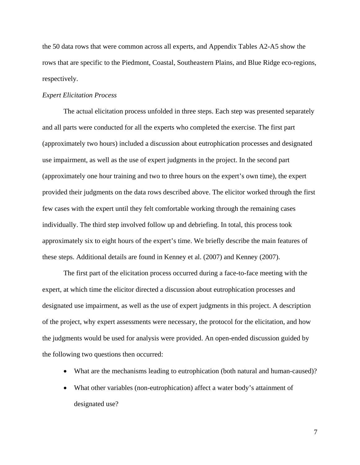the 50 data rows that were common across all experts, and Appendix Tables A2-A5 show the rows that are specific to the Piedmont, Coastal, Southeastern Plains, and Blue Ridge eco-regions, respectively.

## *Expert Elicitation Process*

 The actual elicitation process unfolded in three steps. Each step was presented separately and all parts were conducted for all the experts who completed the exercise. The first part (approximately two hours) included a discussion about eutrophication processes and designated use impairment, as well as the use of expert judgments in the project. In the second part (approximately one hour training and two to three hours on the expert's own time), the expert provided their judgments on the data rows described above. The elicitor worked through the first few cases with the expert until they felt comfortable working through the remaining cases individually. The third step involved follow up and debriefing. In total, this process took approximately six to eight hours of the expert's time. We briefly describe the main features of these steps. Additional details are found in Kenney et al. (2007) and Kenney (2007).

The first part of the elicitation process occurred during a face-to-face meeting with the expert, at which time the elicitor directed a discussion about eutrophication processes and designated use impairment, as well as the use of expert judgments in this project. A description of the project, why expert assessments were necessary, the protocol for the elicitation, and how the judgments would be used for analysis were provided. An open-ended discussion guided by the following two questions then occurred:

- What are the mechanisms leading to eutrophication (both natural and human-caused)?
- What other variables (non-eutrophication) affect a water body's attainment of designated use?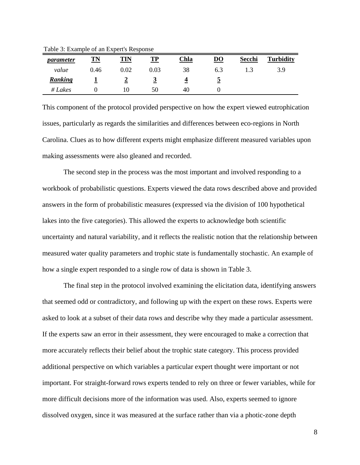| parameter | <b>TN</b> | TIN        | TP   | <u>Chla</u> | $\overline{D}\overline{O}$ | Secchi | <b>Turbidity</b> |
|-----------|-----------|------------|------|-------------|----------------------------|--------|------------------|
| value     | 0.46      | $\rm 0.02$ | 0.03 | 38          | 6.3                        |        | 3.9              |
| Ranking   |           |            |      |             | <u>ب</u>                   |        |                  |
| #Lakes    |           | 10         | 50   | 40          |                            |        |                  |

Table 3: Example of an Expert's Response

This component of the protocol provided perspective on how the expert viewed eutrophication issues, particularly as regards the similarities and differences between eco-regions in North Carolina. Clues as to how different experts might emphasize different measured variables upon making assessments were also gleaned and recorded.

The second step in the process was the most important and involved responding to a workbook of probabilistic questions. Experts viewed the data rows described above and provided answers in the form of probabilistic measures (expressed via the division of 100 hypothetical lakes into the five categories). This allowed the experts to acknowledge both scientific uncertainty and natural variability, and it reflects the realistic notion that the relationship between measured water quality parameters and trophic state is fundamentally stochastic. An example of how a single expert responded to a single row of data is shown in Table 3.

The final step in the protocol involved examining the elicitation data, identifying answers that seemed odd or contradictory, and following up with the expert on these rows. Experts were asked to look at a subset of their data rows and describe why they made a particular assessment. If the experts saw an error in their assessment, they were encouraged to make a correction that more accurately reflects their belief about the trophic state category. This process provided additional perspective on which variables a particular expert thought were important or not important. For straight-forward rows experts tended to rely on three or fewer variables, while for more difficult decisions more of the information was used. Also, experts seemed to ignore dissolved oxygen, since it was measured at the surface rather than via a photic-zone depth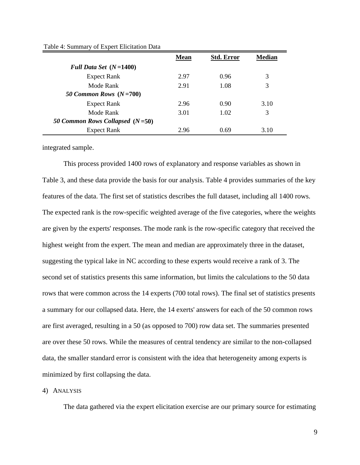|                                   | <b>Mean</b> | <b>Std. Error</b> | <b>Median</b> |
|-----------------------------------|-------------|-------------------|---------------|
| Full Data Set $(N=1400)$          |             |                   |               |
| <b>Expect Rank</b>                | 2.97        | 0.96              | 3             |
| Mode Rank                         | 2.91        | 1.08              | 3             |
| 50 Common Rows $(N=700)$          |             |                   |               |
| <b>Expect Rank</b>                | 2.96        | 0.90              | 3.10          |
| Mode Rank                         | 3.01        | 1.02              | 3             |
| 50 Common Rows Collapsed $(N=50)$ |             |                   |               |
| <b>Expect Rank</b>                | 2.96        | 0.69              | 3.10          |

Table 4: Summary of Expert Elicitation Data

integrated sample.

 This process provided 1400 rows of explanatory and response variables as shown in Table 3, and these data provide the basis for our analysis. Table 4 provides summaries of the key features of the data. The first set of statistics describes the full dataset, including all 1400 rows. The expected rank is the row-specific weighted average of the five categories, where the weights are given by the experts' responses. The mode rank is the row-specific category that received the highest weight from the expert. The mean and median are approximately three in the dataset, suggesting the typical lake in NC according to these experts would receive a rank of 3. The second set of statistics presents this same information, but limits the calculations to the 50 data rows that were common across the 14 experts (700 total rows). The final set of statistics presents a summary for our collapsed data. Here, the 14 exerts' answers for each of the 50 common rows are first averaged, resulting in a 50 (as opposed to 700) row data set. The summaries presented are over these 50 rows. While the measures of central tendency are similar to the non-collapsed data, the smaller standard error is consistent with the idea that heterogeneity among experts is minimized by first collapsing the data.

## 4) ANALYSIS

The data gathered via the expert elicitation exercise are our primary source for estimating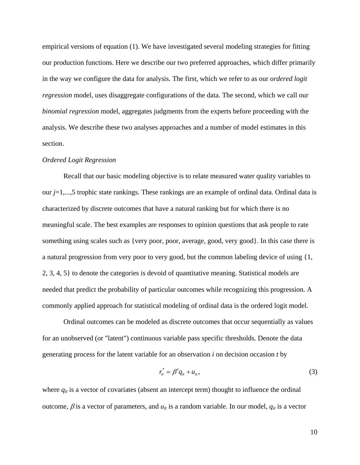empirical versions of equation (1). We have investigated several modeling strategies for fitting our production functions. Here we describe our two preferred approaches, which differ primarily in the way we configure the data for analysis. The first, which we refer to as our *ordered logit regression* model, uses disaggregate configurations of the data. The second, which we call our *binomial regression* model, aggregates judgments from the experts before proceeding with the analysis. We describe these two analyses approaches and a number of model estimates in this section.

#### *Ordered Logit Regression*

 Recall that our basic modeling objective is to relate measured water quality variables to our *j*=1,...,5 trophic state rankings. These rankings are an example of ordinal data. Ordinal data is characterized by discrete outcomes that have a natural ranking but for which there is no meaningful scale. The best examples are responses to opinion questions that ask people to rate something using scales such as {very poor, poor, average, good, very good}. In this case there is a natural progression from very poor to very good, but the common labeling device of using {1, 2, 3, 4, 5} to denote the categories is devoid of quantitative meaning. Statistical models are needed that predict the probability of particular outcomes while recognizing this progression. A commonly applied approach for statistical modeling of ordinal data is the ordered logit model.

 Ordinal outcomes can be modeled as discrete outcomes that occur sequentially as values for an unobserved (or "latent") continuous variable pass specific thresholds. Denote the data generating process for the latent variable for an observation *i* on decision occasion *t* by

$$
r_{it}^* = \beta' q_{it} + u_{it},\tag{3}
$$

where  $q_{it}$  is a vector of covariates (absent an intercept term) thought to influence the ordinal outcome,  $\beta$  is a vector of parameters, and  $u_{it}$  is a random variable. In our model,  $q_{it}$  is a vector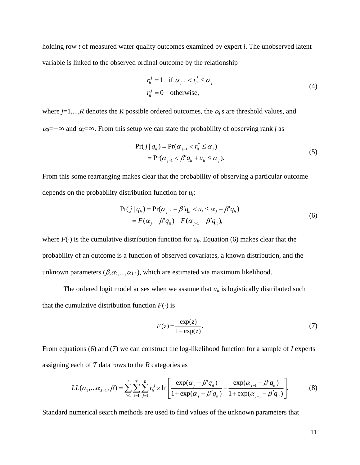holding row *t* of measured water quality outcomes examined by expert *i*. The unobserved latent variable is linked to the observed ordinal outcome by the relationship

$$
r_{it}^{j} = 1 \quad \text{if } \alpha_{j-1} < r_{it}^{*} \leq \alpha_{j}
$$
\n
$$
r_{it}^{j} = 0 \quad \text{otherwise,} \tag{4}
$$

where  $j=1,...,R$  denotes the *R* possible ordered outcomes, the  $\alpha_j$ 's are threshold values, and  $\alpha_0 = -\infty$  and  $\alpha_j = \infty$ . From this setup we can state the probability of observing rank *j* as

$$
Pr(j | qit) = Pr(\alphaj-1 < rit* \leq \alphaj)
$$
  
= Pr(\alpha<sub>j-1</sub> < \beta' q<sub>it</sub> + u<sub>it</sub> \leq \alpha<sub>j</sub>). (5)

From this some rearranging makes clear that the probability of observing a particular outcome depends on the probability distribution function for *ui*:

$$
Pr(j | q_{ii}) = Pr(\alpha_{j-1} - \beta' q_{ii} < u_i \le \alpha_j - \beta' q_{ii})
$$
\n
$$
= F(\alpha_j - \beta' q_{ii}) - F(\alpha_{j-1} - \beta' q_{ii}), \tag{6}
$$

where  $F(\cdot)$  is the cumulative distribution function for  $u_{it}$ . Equation (6) makes clear that the probability of an outcome is a function of observed covariates, a known distribution, and the unknown parameters  $(\beta, \alpha_2, ..., \alpha_{J-1})$ , which are estimated via maximum likelihood.

The ordered logit model arises when we assume that  $u_{it}$  is logistically distributed such that the cumulative distribution function  $F(\cdot)$  is

$$
F(z) = \frac{\exp(z)}{1 + \exp(z)}.\tag{7}
$$

From equations (6) and (7) we can construct the log-likelihood function for a sample of *I* experts assigning each of *T* data rows to the *R* categories as

$$
LL(\alpha_1, \ldots \alpha_{J-1}, \beta) = \sum_{i=1}^{I} \sum_{t=1}^{T} \sum_{j=1}^{R} r_{it}^{j} \times \ln \left[ \frac{\exp(\alpha_j - \beta' q_{it})}{1 + \exp(\alpha_j - \beta' q_{it})} - \frac{\exp(\alpha_{j-1} - \beta' q_{it})}{1 + \exp(\alpha_{j-1} - \beta' q_{it})} \right].
$$
 (8)

Standard numerical search methods are used to find values of the unknown parameters that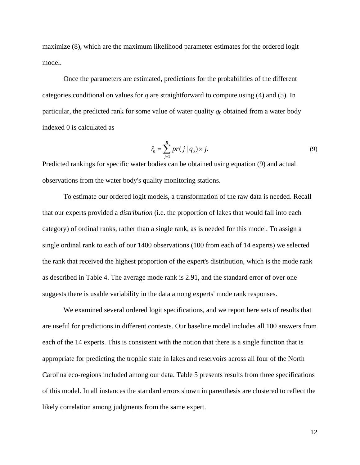maximize (8), which are the maximum likelihood parameter estimates for the ordered logit model.

 Once the parameters are estimated, predictions for the probabilities of the different categories conditional on values for *q* are straightforward to compute using (4) and (5). In particular, the predicted rank for some value of water quality  $q_0$  obtained from a water body indexed 0 is calculated as

$$
\hat{r}_0 = \sum_{j=1}^{R} pr(j | q_0) \times j.
$$
\n(9)

Predicted rankings for specific water bodies can be obtained using equation (9) and actual observations from the water body's quality monitoring stations.

 To estimate our ordered logit models, a transformation of the raw data is needed. Recall that our experts provided a *distribution* (i.e. the proportion of lakes that would fall into each category) of ordinal ranks, rather than a single rank, as is needed for this model. To assign a single ordinal rank to each of our 1400 observations (100 from each of 14 experts) we selected the rank that received the highest proportion of the expert's distribution, which is the mode rank as described in Table 4. The average mode rank is 2.91, and the standard error of over one suggests there is usable variability in the data among experts' mode rank responses.

 We examined several ordered logit specifications, and we report here sets of results that are useful for predictions in different contexts. Our baseline model includes all 100 answers from each of the 14 experts. This is consistent with the notion that there is a single function that is appropriate for predicting the trophic state in lakes and reservoirs across all four of the North Carolina eco-regions included among our data. Table 5 presents results from three specifications of this model. In all instances the standard errors shown in parenthesis are clustered to reflect the likely correlation among judgments from the same expert.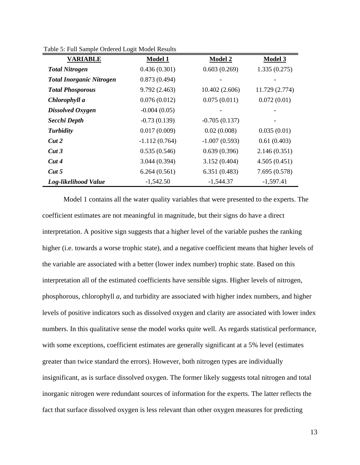| <b>VARIABLE</b>                 | <b>Model 1</b>  | <b>Model 2</b>  | <b>Model 3</b> |
|---------------------------------|-----------------|-----------------|----------------|
| <b>Total Nitrogen</b>           | 0.436(0.301)    | 0.603(0.269)    | 1.335(0.275)   |
| <b>Total Inorganic Nitrogen</b> | 0.873(0.494)    |                 |                |
| <b>Total Phosporous</b>         | 9.792(2.463)    | 10.402(2.606)   | 11.729 (2.774) |
| Chlorophyll a                   | 0.076(0.012)    | 0.075(0.011)    | 0.072(0.01)    |
| Dissolved Oxygen                | $-0.004(0.05)$  |                 |                |
| Secchi Depth                    | $-0.73(0.139)$  | $-0.705(0.137)$ |                |
| <b>Turbidity</b>                | 0.017(0.009)    | 0.02(0.008)     | 0.035(0.01)    |
| Cut2                            | $-1.112(0.764)$ | $-1.007(0.593)$ | 0.61(0.403)    |
| Cut3                            | 0.535(0.546)    | 0.639(0.396)    | 2.146(0.351)   |
| Cut4                            | 3.044(0.394)    | 3.152(0.404)    | 4.505(0.451)   |
| Cut 5                           | 6.264(0.561)    | 6.351(0.483)    | 7.695 (0.578)  |
| Log-likelihood Value            | $-1,542.50$     | $-1,544.37$     | $-1,597.41$    |

Table 5: Full Sample Ordered Logit Model Results

 Model 1 contains all the water quality variables that were presented to the experts. The coefficient estimates are not meaningful in magnitude, but their signs do have a direct interpretation. A positive sign suggests that a higher level of the variable pushes the ranking higher (i.e. towards a worse trophic state), and a negative coefficient means that higher levels of the variable are associated with a better (lower index number) trophic state. Based on this interpretation all of the estimated coefficients have sensible signs. Higher levels of nitrogen, phosphorous, chlorophyll *a*, and turbidity are associated with higher index numbers, and higher levels of positive indicators such as dissolved oxygen and clarity are associated with lower index numbers. In this qualitative sense the model works quite well. As regards statistical performance, with some exceptions, coefficient estimates are generally significant at a 5% level (estimates greater than twice standard the errors). However, both nitrogen types are individually insignificant, as is surface dissolved oxygen. The former likely suggests total nitrogen and total inorganic nitrogen were redundant sources of information for the experts. The latter reflects the fact that surface dissolved oxygen is less relevant than other oxygen measures for predicting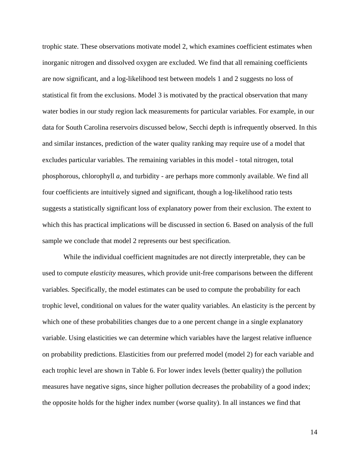trophic state. These observations motivate model 2, which examines coefficient estimates when inorganic nitrogen and dissolved oxygen are excluded. We find that all remaining coefficients are now significant, and a log-likelihood test between models 1 and 2 suggests no loss of statistical fit from the exclusions. Model 3 is motivated by the practical observation that many water bodies in our study region lack measurements for particular variables. For example, in our data for South Carolina reservoirs discussed below, Secchi depth is infrequently observed. In this and similar instances, prediction of the water quality ranking may require use of a model that excludes particular variables. The remaining variables in this model - total nitrogen, total phosphorous, chlorophyll *a*, and turbidity - are perhaps more commonly available. We find all four coefficients are intuitively signed and significant, though a log-likelihood ratio tests suggests a statistically significant loss of explanatory power from their exclusion. The extent to which this has practical implications will be discussed in section 6. Based on analysis of the full sample we conclude that model 2 represents our best specification.

 While the individual coefficient magnitudes are not directly interpretable, they can be used to compute *elasticity* measures, which provide unit-free comparisons between the different variables. Specifically, the model estimates can be used to compute the probability for each trophic level, conditional on values for the water quality variables. An elasticity is the percent by which one of these probabilities changes due to a one percent change in a single explanatory variable. Using elasticities we can determine which variables have the largest relative influence on probability predictions. Elasticities from our preferred model (model 2) for each variable and each trophic level are shown in Table 6. For lower index levels (better quality) the pollution measures have negative signs, since higher pollution decreases the probability of a good index; the opposite holds for the higher index number (worse quality). In all instances we find that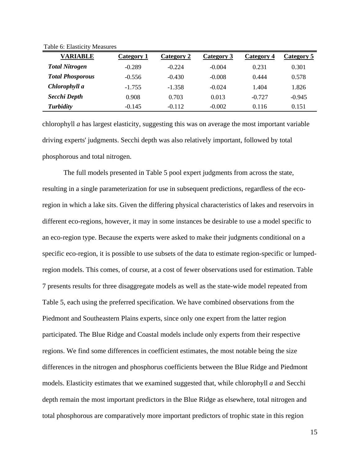| <b>VARIABLE</b>         | Category 1 | Category 2 | Category 3 | Category 4 | Category 5 |
|-------------------------|------------|------------|------------|------------|------------|
| <b>Total Nitrogen</b>   | $-0.289$   | $-0.224$   | $-0.004$   | 0.231      | 0.301      |
| <b>Total Phosporous</b> | $-0.556$   | $-0.430$   | $-0.008$   | 0.444      | 0.578      |
| Chlorophyll a           | $-1.755$   | $-1.358$   | $-0.024$   | 1.404      | 1.826      |
| Secchi Depth            | 0.908      | 0.703      | 0.013      | $-0.727$   | $-0.945$   |
| <b>Turbidity</b>        | $-0.145$   | $-0.112$   | $-0.002$   | 0.116      | 0.151      |

Table 6: Elasticity Measures

chlorophyll *a* has largest elasticity, suggesting this was on average the most important variable driving experts' judgments. Secchi depth was also relatively important, followed by total phosphorous and total nitrogen.

 The full models presented in Table 5 pool expert judgments from across the state, resulting in a single parameterization for use in subsequent predictions, regardless of the ecoregion in which a lake sits. Given the differing physical characteristics of lakes and reservoirs in different eco-regions, however, it may in some instances be desirable to use a model specific to an eco-region type. Because the experts were asked to make their judgments conditional on a specific eco-region, it is possible to use subsets of the data to estimate region-specific or lumpedregion models. This comes, of course, at a cost of fewer observations used for estimation. Table 7 presents results for three disaggregate models as well as the state-wide model repeated from Table 5, each using the preferred specification. We have combined observations from the Piedmont and Southeastern Plains experts, since only one expert from the latter region participated. The Blue Ridge and Coastal models include only experts from their respective regions. We find some differences in coefficient estimates, the most notable being the size differences in the nitrogen and phosphorus coefficients between the Blue Ridge and Piedmont models. Elasticity estimates that we examined suggested that, while chlorophyll *a* and Secchi depth remain the most important predictors in the Blue Ridge as elsewhere, total nitrogen and total phosphorous are comparatively more important predictors of trophic state in this region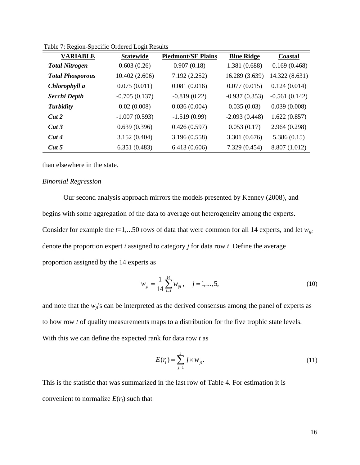| <b>VARIABLE</b>         | <b>Statewide</b> | <b>Piedmont/SE Plains</b> | <b>Blue Ridge</b> | Coastal         |
|-------------------------|------------------|---------------------------|-------------------|-----------------|
| <b>Total Nitrogen</b>   | 0.603(0.26)      | 0.907(0.18)               | 1.381 (0.688)     | $-0.169(0.468)$ |
| <b>Total Phosporous</b> | 10.402(2.606)    | 7.192(2.252)              | 16.289 (3.639)    | 14.322 (8.631)  |
| Chlorophyll a           | 0.075(0.011)     | 0.081(0.016)              | 0.077(0.015)      | 0.124(0.014)    |
| Secchi Depth            | $-0.705(0.137)$  | $-0.819(0.22)$            | $-0.937(0.353)$   | $-0.561(0.142)$ |
| <b>Turbidity</b>        | 0.02(0.008)      | 0.036(0.004)              | 0.035(0.03)       | 0.039(0.008)    |
| Cut2                    | $-1.007(0.593)$  | $-1.519(0.99)$            | $-2.093(0.448)$   | 1.622(0.857)    |
| Cut3                    | 0.639(0.396)     | 0.426(0.597)              | 0.053(0.17)       | 2.964 (0.298)   |
| Cut4                    | 3.152(0.404)     | 3.196 (0.558)             | 3.301 (0.676)     | 5.386(0.15)     |
| Cut 5                   | 6.351(0.483)     | 6.413(0.606)              | 7.329 (0.454)     | 8.807 (1.012)   |

Table 7: Region-Specific Ordered Logit Results

than elsewhere in the state.

#### *Binomial Regression*

 Our second analysis approach mirrors the models presented by Kenney (2008), and begins with some aggregation of the data to average out heterogeneity among the experts. Consider for example the *t*=1,...50 rows of data that were common for all 14 experts, and let *wijt* denote the proportion expert *i* assigned to category *j* for data row *t*. Define the average proportion assigned by the 14 experts as

$$
w_{jt} = \frac{1}{14} \sum_{i=1}^{14} w_{ijt}, \quad j = 1, ..., 5,
$$
 (10)

and note that the  $w_{it}$ 's can be interpreted as the derived consensus among the panel of experts as to how row *t* of quality measurements maps to a distribution for the five trophic state levels. With this we can define the expected rank for data row *t* as

$$
E(rt) = \sum_{j=1}^{5} j \times w_{jt}.
$$
 (11)

This is the statistic that was summarized in the last row of Table 4. For estimation it is convenient to normalize  $E(r_t)$  such that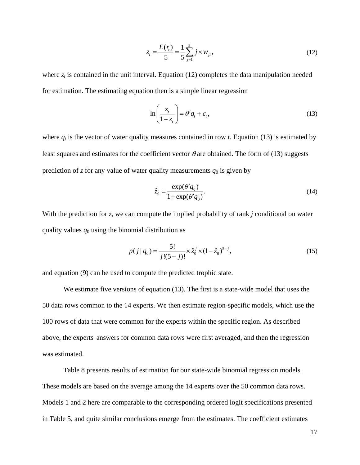$$
z_{t} = \frac{E(r_{t})}{5} = \frac{1}{5} \sum_{j=1}^{5} j \times w_{jt},
$$
\n(12)

where  $z_t$  is contained in the unit interval. Equation (12) completes the data manipulation needed for estimation. The estimating equation then is a simple linear regression

$$
\ln\left(\frac{z_t}{1-z_t}\right) = \theta' q_t + \varepsilon_t,
$$
\n(13)

where  $q_t$  is the vector of water quality measures contained in row *t*. Equation (13) is estimated by least squares and estimates for the coefficient vector  $\theta$  are obtained. The form of (13) suggests prediction of  $z$  for any value of water quality measurements  $q_0$  is given by

$$
\hat{z}_0 = \frac{\exp(\theta'q_0)}{1 + \exp(\theta'q_0)}.\tag{14}
$$

With the prediction for *z*, we can compute the implied probability of rank *j* conditional on water quality values  $q_0$  using the binomial distribution as

$$
p(j | q_0) = \frac{5!}{j!(5-j)!} \times \hat{z}_0^j \times (1 - \hat{z}_0)^{5-j},
$$
\n(15)

and equation (9) can be used to compute the predicted trophic state.

 We estimate five versions of equation (13). The first is a state-wide model that uses the 50 data rows common to the 14 experts. We then estimate region-specific models, which use the 100 rows of data that were common for the experts within the specific region. As described above, the experts' answers for common data rows were first averaged, and then the regression was estimated.

 Table 8 presents results of estimation for our state-wide binomial regression models. These models are based on the average among the 14 experts over the 50 common data rows. Models 1 and 2 here are comparable to the corresponding ordered logit specifications presented in Table 5, and quite similar conclusions emerge from the estimates. The coefficient estimates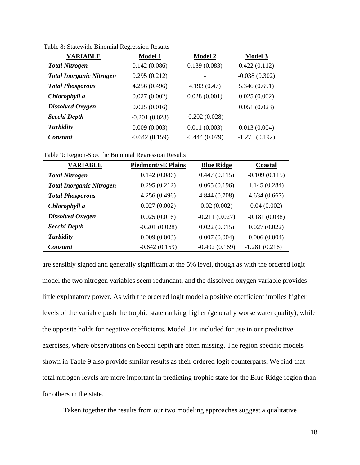| <b>VARIABLE</b>                 | <b>Model 1</b>  | <b>Model 2</b>  | <b>Model 3</b>  |
|---------------------------------|-----------------|-----------------|-----------------|
| <b>Total Nitrogen</b>           | 0.142(0.086)    | 0.139(0.083)    | 0.422(0.112)    |
| <b>Total Inorganic Nitrogen</b> | 0.295(0.212)    |                 | $-0.038(0.302)$ |
| <b>Total Phosporous</b>         | 4.256 (0.496)   | 4.193 (0.47)    | 5.346(0.691)    |
| Chlorophyll a                   | 0.027(0.002)    | 0.028(0.001)    | 0.025(0.002)    |
| <b>Dissolved Oxygen</b>         | 0.025(0.016)    |                 | 0.051(0.023)    |
| Secchi Depth                    | $-0.201(0.028)$ | $-0.202(0.028)$ |                 |
| <b>Turbidity</b>                | 0.009(0.003)    | 0.011(0.003)    | 0.013(0.004)    |
| Constant                        | $-0.642(0.159)$ | $-0.444(0.079)$ | $-1.275(0.192)$ |

Table 8: Statewide Binomial Regression Results

|  |  | Table 9: Region-Specific Binomial Regression Results |  |
|--|--|------------------------------------------------------|--|
|  |  |                                                      |  |

| <b>VARIABLE</b>                 | <b>Piedmont/SE Plains</b> | <b>Blue Ridge</b> | Coastal         |
|---------------------------------|---------------------------|-------------------|-----------------|
| <b>Total Nitrogen</b>           | 0.142(0.086)              | 0.447(0.115)      | $-0.109(0.115)$ |
| <b>Total Inorganic Nitrogen</b> | 0.295(0.212)              | 0.065(0.196)      | 1.145(0.284)    |
| <b>Total Phosporous</b>         | 4.256 (0.496)             | 4.844 (0.708)     | 4.634(0.667)    |
| Chlorophyll a                   | 0.027(0.002)              | 0.02(0.002)       | 0.04(0.002)     |
| Dissolved Oxygen                | 0.025(0.016)              | $-0.211(0.027)$   | $-0.181(0.038)$ |
| Secchi Depth                    | $-0.201(0.028)$           | 0.022(0.015)      | 0.027(0.022)    |
| <b>Turbidity</b>                | 0.009(0.003)              | 0.007(0.004)      | 0.006(0.004)    |
| <b>Constant</b>                 | $-0.642(0.159)$           | $-0.402(0.169)$   | $-1.281(0.216)$ |

are sensibly signed and generally significant at the 5% level, though as with the ordered logit model the two nitrogen variables seem redundant, and the dissolved oxygen variable provides little explanatory power. As with the ordered logit model a positive coefficient implies higher levels of the variable push the trophic state ranking higher (generally worse water quality), while the opposite holds for negative coefficients. Model 3 is included for use in our predictive exercises, where observations on Secchi depth are often missing. The region specific models shown in Table 9 also provide similar results as their ordered logit counterparts. We find that total nitrogen levels are more important in predicting trophic state for the Blue Ridge region than for others in the state.

Taken together the results from our two modeling approaches suggest a qualitative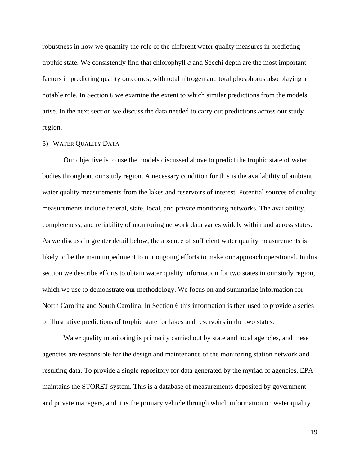robustness in how we quantify the role of the different water quality measures in predicting trophic state. We consistently find that chlorophyll *a* and Secchi depth are the most important factors in predicting quality outcomes, with total nitrogen and total phosphorus also playing a notable role. In Section 6 we examine the extent to which similar predictions from the models arise. In the next section we discuss the data needed to carry out predictions across our study region.

## 5) WATER QUALITY DATA

 Our objective is to use the models discussed above to predict the trophic state of water bodies throughout our study region. A necessary condition for this is the availability of ambient water quality measurements from the lakes and reservoirs of interest. Potential sources of quality measurements include federal, state, local, and private monitoring networks. The availability, completeness, and reliability of monitoring network data varies widely within and across states. As we discuss in greater detail below, the absence of sufficient water quality measurements is likely to be the main impediment to our ongoing efforts to make our approach operational. In this section we describe efforts to obtain water quality information for two states in our study region, which we use to demonstrate our methodology. We focus on and summarize information for North Carolina and South Carolina. In Section 6 this information is then used to provide a series of illustrative predictions of trophic state for lakes and reservoirs in the two states.

 Water quality monitoring is primarily carried out by state and local agencies, and these agencies are responsible for the design and maintenance of the monitoring station network and resulting data. To provide a single repository for data generated by the myriad of agencies, EPA maintains the STORET system. This is a database of measurements deposited by government and private managers, and it is the primary vehicle through which information on water quality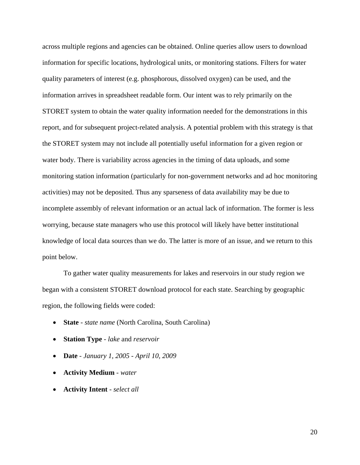across multiple regions and agencies can be obtained. Online queries allow users to download information for specific locations, hydrological units, or monitoring stations. Filters for water quality parameters of interest (e.g. phosphorous, dissolved oxygen) can be used, and the information arrives in spreadsheet readable form. Our intent was to rely primarily on the STORET system to obtain the water quality information needed for the demonstrations in this report, and for subsequent project-related analysis. A potential problem with this strategy is that the STORET system may not include all potentially useful information for a given region or water body. There is variability across agencies in the timing of data uploads, and some monitoring station information (particularly for non-government networks and ad hoc monitoring activities) may not be deposited. Thus any sparseness of data availability may be due to incomplete assembly of relevant information or an actual lack of information. The former is less worrying, because state managers who use this protocol will likely have better institutional knowledge of local data sources than we do. The latter is more of an issue, and we return to this point below.

 To gather water quality measurements for lakes and reservoirs in our study region we began with a consistent STORET download protocol for each state. Searching by geographic region, the following fields were coded:

- **State** *state name* (North Carolina, South Carolina)
- **Station Type** *lake* and *reservoir*
- **Date** *January 1, 2005 April 10, 2009*
- **Activity Medium** *water*
- **Activity Intent**  *select all*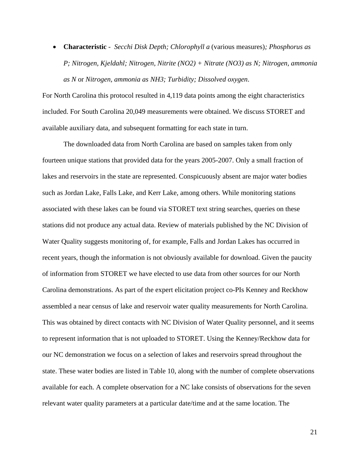• **Characteristic** - *Secchi Disk Depth; Chlorophyll a* (various measures)*; Phosphorus as P; Nitrogen, Kjeldahl; Nitrogen, Nitrite (NO2) + Nitrate (NO3) as N; Nitrogen, ammonia as N* or *Nitrogen, ammonia as NH3; Turbidity; Dissolved oxygen*.

For North Carolina this protocol resulted in 4,119 data points among the eight characteristics included. For South Carolina 20,049 measurements were obtained. We discuss STORET and available auxiliary data, and subsequent formatting for each state in turn.

 The downloaded data from North Carolina are based on samples taken from only fourteen unique stations that provided data for the years 2005-2007. Only a small fraction of lakes and reservoirs in the state are represented. Conspicuously absent are major water bodies such as Jordan Lake, Falls Lake, and Kerr Lake, among others. While monitoring stations associated with these lakes can be found via STORET text string searches, queries on these stations did not produce any actual data. Review of materials published by the NC Division of Water Quality suggests monitoring of, for example, Falls and Jordan Lakes has occurred in recent years, though the information is not obviously available for download. Given the paucity of information from STORET we have elected to use data from other sources for our North Carolina demonstrations. As part of the expert elicitation project co-PIs Kenney and Reckhow assembled a near census of lake and reservoir water quality measurements for North Carolina. This was obtained by direct contacts with NC Division of Water Quality personnel, and it seems to represent information that is not uploaded to STORET. Using the Kenney/Reckhow data for our NC demonstration we focus on a selection of lakes and reservoirs spread throughout the state. These water bodies are listed in Table 10, along with the number of complete observations available for each. A complete observation for a NC lake consists of observations for the seven relevant water quality parameters at a particular date/time and at the same location. The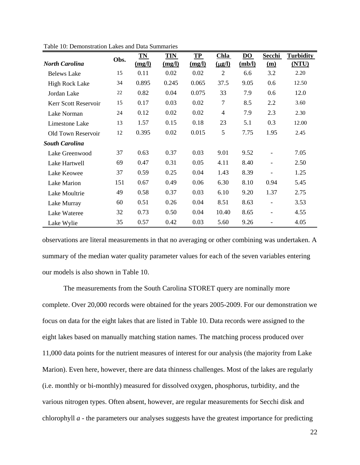|                       | Obs. | TN     | <b>TIN</b> | TP     | <b>Chla</b>    | DO     | Secchi                   | <b>Turbidity</b> |
|-----------------------|------|--------|------------|--------|----------------|--------|--------------------------|------------------|
| <b>North Carolina</b> |      | (mg/l) | (mg/l)     | (mg/l) | $(\mu$ g/l)    | (mb/l) | $\mathbf{m}$             | (NTU)            |
| <b>Belews Lake</b>    | 15   | 0.11   | 0.02       | 0.02   | 2              | 6.6    | 3.2                      | 2.20             |
| <b>High Rock Lake</b> | 34   | 0.895  | 0.245      | 0.065  | 37.5           | 9.05   | 0.6                      | 12.50            |
| Jordan Lake           | 22   | 0.82   | 0.04       | 0.075  | 33             | 7.9    | 0.6                      | 12.0             |
| Kerr Scott Reservoir  | 15   | 0.17   | 0.03       | 0.02   | 7              | 8.5    | 2.2                      | 3.60             |
| Lake Norman           | 24   | 0.12   | 0.02       | 0.02   | $\overline{4}$ | 7.9    | 2.3                      | 2.30             |
| Limestone Lake        | 13   | 1.57   | 0.15       | 0.18   | 23             | 5.1    | 0.3                      | 12.00            |
| Old Town Reservoir    | 12   | 0.395  | 0.02       | 0.015  | 5              | 7.75   | 1.95                     | 2.45             |
| <b>South Carolina</b> |      |        |            |        |                |        |                          |                  |
| Lake Greenwood        | 37   | 0.63   | 0.37       | 0.03   | 9.01           | 9.52   |                          | 7.05             |
| Lake Hartwell         | 69   | 0.47   | 0.31       | 0.05   | 4.11           | 8.40   | $\overline{\phantom{a}}$ | 2.50             |
| Lake Keowee           | 37   | 0.59   | 0.25       | 0.04   | 1.43           | 8.39   | $\overline{\phantom{a}}$ | 1.25             |
| Lake Marion           | 151  | 0.67   | 0.49       | 0.06   | 6.30           | 8.10   | 0.94                     | 5.45             |
| Lake Moultrie         | 49   | 0.58   | 0.37       | 0.03   | 6.10           | 9.20   | 1.37                     | 2.75             |
| Lake Murray           | 60   | 0.51   | 0.26       | 0.04   | 8.51           | 8.63   |                          | 3.53             |
| Lake Wateree          | 32   | 0.73   | 0.50       | 0.04   | 10.40          | 8.65   |                          | 4.55             |
| Lake Wylie            | 35   | 0.57   | 0.42       | 0.03   | 5.60           | 9.26   |                          | 4.05             |

Table 10: Demonstration Lakes and Data Summaries

observations are literal measurements in that no averaging or other combining was undertaken. A summary of the median water quality parameter values for each of the seven variables entering our models is also shown in Table 10.

 The measurements from the South Carolina STORET query are nominally more complete. Over 20,000 records were obtained for the years 2005-2009. For our demonstration we focus on data for the eight lakes that are listed in Table 10. Data records were assigned to the eight lakes based on manually matching station names. The matching process produced over 11,000 data points for the nutrient measures of interest for our analysis (the majority from Lake Marion). Even here, however, there are data thinness challenges. Most of the lakes are regularly (i.e. monthly or bi-monthly) measured for dissolved oxygen, phosphorus, turbidity, and the various nitrogen types. Often absent, however, are regular measurements for Secchi disk and chlorophyll *a* - the parameters our analyses suggests have the greatest importance for predicting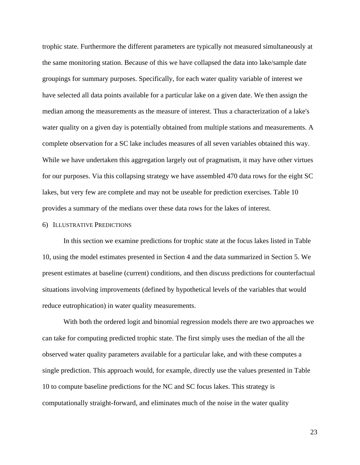trophic state. Furthermore the different parameters are typically not measured simultaneously at the same monitoring station. Because of this we have collapsed the data into lake/sample date groupings for summary purposes. Specifically, for each water quality variable of interest we have selected all data points available for a particular lake on a given date. We then assign the median among the measurements as the measure of interest. Thus a characterization of a lake's water quality on a given day is potentially obtained from multiple stations and measurements. A complete observation for a SC lake includes measures of all seven variables obtained this way. While we have undertaken this aggregation largely out of pragmatism, it may have other virtues for our purposes. Via this collapsing strategy we have assembled 470 data rows for the eight SC lakes, but very few are complete and may not be useable for prediction exercises. Table 10 provides a summary of the medians over these data rows for the lakes of interest.

## 6) ILLUSTRATIVE PREDICTIONS

 In this section we examine predictions for trophic state at the focus lakes listed in Table 10, using the model estimates presented in Section 4 and the data summarized in Section 5. We present estimates at baseline (current) conditions, and then discuss predictions for counterfactual situations involving improvements (defined by hypothetical levels of the variables that would reduce eutrophication) in water quality measurements.

 With both the ordered logit and binomial regression models there are two approaches we can take for computing predicted trophic state. The first simply uses the median of the all the observed water quality parameters available for a particular lake, and with these computes a single prediction. This approach would, for example, directly use the values presented in Table 10 to compute baseline predictions for the NC and SC focus lakes. This strategy is computationally straight-forward, and eliminates much of the noise in the water quality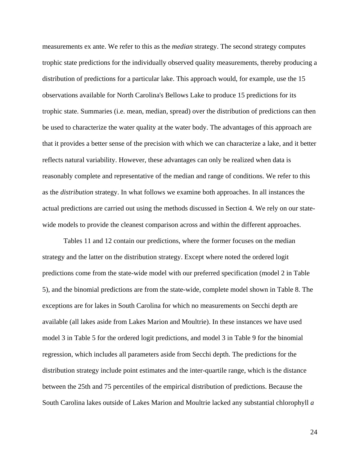measurements ex ante. We refer to this as the *median* strategy. The second strategy computes trophic state predictions for the individually observed quality measurements, thereby producing a distribution of predictions for a particular lake. This approach would, for example, use the 15 observations available for North Carolina's Bellows Lake to produce 15 predictions for its trophic state. Summaries (i.e. mean, median, spread) over the distribution of predictions can then be used to characterize the water quality at the water body. The advantages of this approach are that it provides a better sense of the precision with which we can characterize a lake, and it better reflects natural variability. However, these advantages can only be realized when data is reasonably complete and representative of the median and range of conditions. We refer to this as the *distribution* strategy. In what follows we examine both approaches. In all instances the actual predictions are carried out using the methods discussed in Section 4. We rely on our statewide models to provide the cleanest comparison across and within the different approaches.

 Tables 11 and 12 contain our predictions, where the former focuses on the median strategy and the latter on the distribution strategy. Except where noted the ordered logit predictions come from the state-wide model with our preferred specification (model 2 in Table 5), and the binomial predictions are from the state-wide, complete model shown in Table 8. The exceptions are for lakes in South Carolina for which no measurements on Secchi depth are available (all lakes aside from Lakes Marion and Moultrie). In these instances we have used model 3 in Table 5 for the ordered logit predictions, and model 3 in Table 9 for the binomial regression, which includes all parameters aside from Secchi depth. The predictions for the distribution strategy include point estimates and the inter-quartile range, which is the distance between the 25th and 75 percentiles of the empirical distribution of predictions. Because the South Carolina lakes outside of Lakes Marion and Moultrie lacked any substantial chlorophyll *a*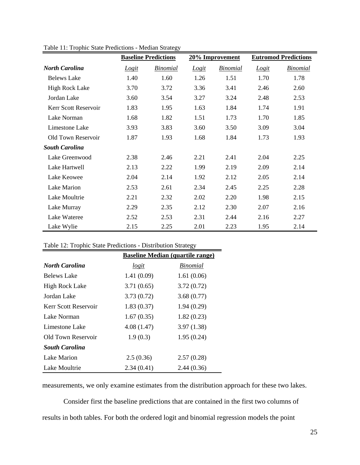|                       | <b>Baseline Predictions</b> |                 | 20% Improvement |                 | <b>Eutromod Predictions</b> |                 |
|-----------------------|-----------------------------|-----------------|-----------------|-----------------|-----------------------------|-----------------|
| <b>North Carolina</b> | Logit                       | <b>Binomial</b> | Logit           | <b>Binomial</b> | Logit                       | <b>Binomial</b> |
| <b>Belews Lake</b>    | 1.40                        | 1.60            | 1.26            | 1.51            | 1.70                        | 1.78            |
| High Rock Lake        | 3.70                        | 3.72            | 3.36            | 3.41            | 2.46                        | 2.60            |
| Jordan Lake           | 3.60                        | 3.54            | 3.27            | 3.24            | 2.48                        | 2.53            |
| Kerr Scott Reservoir  | 1.83                        | 1.95            | 1.63            | 1.84            | 1.74                        | 1.91            |
| Lake Norman           | 1.68                        | 1.82            | 1.51            | 1.73            | 1.70                        | 1.85            |
| Limestone Lake        | 3.93                        | 3.83            | 3.60            | 3.50            | 3.09                        | 3.04            |
| Old Town Reservoir    | 1.87                        | 1.93            | 1.68            | 1.84            | 1.73                        | 1.93            |
| <b>South Carolina</b> |                             |                 |                 |                 |                             |                 |
| Lake Greenwood        | 2.38                        | 2.46            | 2.21            | 2.41            | 2.04                        | 2.25            |
| Lake Hartwell         | 2.13                        | 2.22            | 1.99            | 2.19            | 2.09                        | 2.14            |
| Lake Keowee           | 2.04                        | 2.14            | 1.92            | 2.12            | 2.05                        | 2.14            |
| Lake Marion           | 2.53                        | 2.61            | 2.34            | 2.45            | 2.25                        | 2.28            |
| Lake Moultrie         | 2.21                        | 2.32            | 2.02            | 2.20            | 1.98                        | 2.15            |
| Lake Murray           | 2.29                        | 2.35            | 2.12            | 2.30            | 2.07                        | 2.16            |
| Lake Wateree          | 2.52                        | 2.53            | 2.31            | 2.44            | 2.16                        | 2.27            |
| Lake Wylie            | 2.15                        | 2.25            | 2.01            | 2.23            | 1.95                        | 2.14            |

Table 11: Trophic State Predictions - Median Strategy

Table 12: Trophic State Predictions - Distribution Strategy

|                       | <b>Baseline Median (quartile range)</b> |                 |  |  |
|-----------------------|-----------------------------------------|-----------------|--|--|
| <b>North Carolina</b> | logit                                   | <i>Binomial</i> |  |  |
| <b>Belews Lake</b>    | 1.41(0.09)                              | 1.61(0.06)      |  |  |
| <b>High Rock Lake</b> | 3.71(0.65)                              | 3.72(0.72)      |  |  |
| Jordan Lake           | 3.73(0.72)                              | 3.68(0.77)      |  |  |
| Kerr Scott Reservoir  | 1.83(0.37)                              | 1.94(0.29)      |  |  |
| Lake Norman           | 1.67(0.35)                              | 1.82(0.23)      |  |  |
| Limestone Lake        | 4.08(1.47)                              | 3.97(1.38)      |  |  |
| Old Town Reservoir    | 1.9(0.3)                                | 1.95(0.24)      |  |  |
| <b>South Carolina</b> |                                         |                 |  |  |
| Lake Marion           | 2.5(0.36)                               | 2.57(0.28)      |  |  |
| Lake Moultrie         | 2.34(0.41)                              | 2.44(0.36)      |  |  |

measurements, we only examine estimates from the distribution approach for these two lakes.

 Consider first the baseline predictions that are contained in the first two columns of results in both tables. For both the ordered logit and binomial regression models the point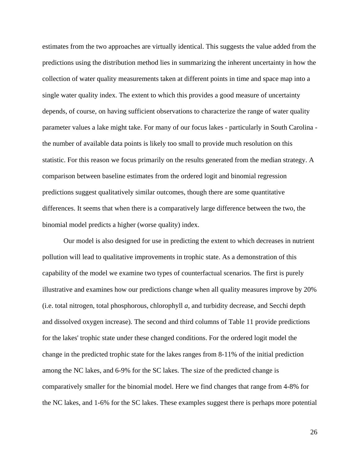estimates from the two approaches are virtually identical. This suggests the value added from the predictions using the distribution method lies in summarizing the inherent uncertainty in how the collection of water quality measurements taken at different points in time and space map into a single water quality index. The extent to which this provides a good measure of uncertainty depends, of course, on having sufficient observations to characterize the range of water quality parameter values a lake might take. For many of our focus lakes - particularly in South Carolina the number of available data points is likely too small to provide much resolution on this statistic. For this reason we focus primarily on the results generated from the median strategy. A comparison between baseline estimates from the ordered logit and binomial regression predictions suggest qualitatively similar outcomes, though there are some quantitative differences. It seems that when there is a comparatively large difference between the two, the binomial model predicts a higher (worse quality) index.

 Our model is also designed for use in predicting the extent to which decreases in nutrient pollution will lead to qualitative improvements in trophic state. As a demonstration of this capability of the model we examine two types of counterfactual scenarios. The first is purely illustrative and examines how our predictions change when all quality measures improve by 20% (i.e. total nitrogen, total phosphorous, chlorophyll *a*, and turbidity decrease, and Secchi depth and dissolved oxygen increase). The second and third columns of Table 11 provide predictions for the lakes' trophic state under these changed conditions. For the ordered logit model the change in the predicted trophic state for the lakes ranges from 8-11% of the initial prediction among the NC lakes, and 6-9% for the SC lakes. The size of the predicted change is comparatively smaller for the binomial model. Here we find changes that range from 4-8% for the NC lakes, and 1-6% for the SC lakes. These examples suggest there is perhaps more potential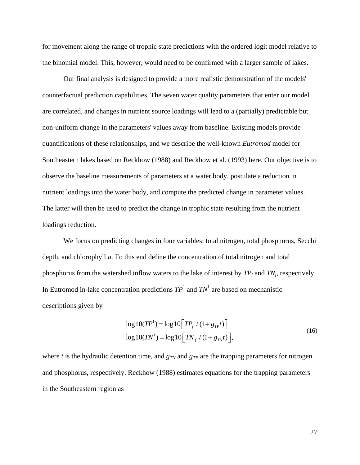for movement along the range of trophic state predictions with the ordered logit model relative to the binomial model. This, however, would need to be confirmed with a larger sample of lakes.

 Our final analysis is designed to provide a more realistic demonstration of the models' counterfactual prediction capabilities. The seven water quality parameters that enter our model are correlated, and changes in nutrient source loadings will lead to a (partially) predictable but non-uniform change in the parameters' values away from baseline. Existing models provide quantifications of these relationships, and we describe the well-known *Eutromod* model for Southeastern lakes based on Reckhow (1988) and Reckhow et al. (1993) here. Our objective is to observe the baseline measurements of parameters at a water body, postulate a reduction in nutrient loadings into the water body, and compute the predicted change in parameter values. The latter will then be used to predict the change in trophic state resulting from the nutrient loadings reduction.

 We focus on predicting changes in four variables: total nitrogen, total phosphorus, Secchi depth, and chlorophyll *a*. To this end define the concentration of total nitrogen and total phosphorus from the watershed inflow waters to the lake of interest by  $TP_f$  and  $TN_f$ , respectively. In Eutromod in-lake concentration predictions  $TP<sup>1</sup>$  and  $TN<sup>1</sup>$  are based on mechanistic descriptions given by

$$
log 10(TP^{1}) = log 10[TP_{f} / (1 + g_{TP}t)]
$$
  
\n
$$
log 10(TN^{1}) = log 10[TN_{f} / (1 + g_{TN}t)],
$$
\n(16)

where *t* is the hydraulic detention time, and  $g_{TN}$  and  $g_{TP}$  are the trapping parameters for nitrogen and phosphorus, respectively. Reckhow (1988) estimates equations for the trapping parameters in the Southeastern region as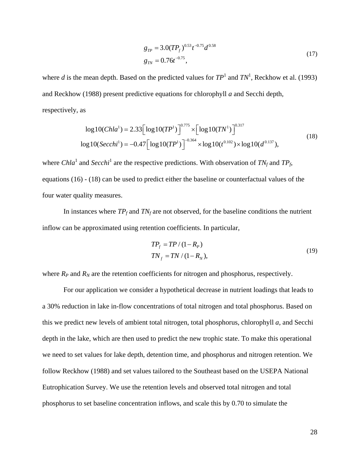$$
g_{TP} = 3.0(TP_f)^{0.53} t^{-0.75} d^{0.58}
$$
  
\n
$$
g_{TN} = 0.76t^{-0.75},
$$
\n(17)

where *d* is the mean depth. Based on the predicted values for  $TP<sup>1</sup>$  and  $TN<sup>1</sup>$ , Reckhow et al. (1993) and Reckhow (1988) present predictive equations for chlorophyll *a* and Secchi depth, respectively, as

$$
\log 10(Chla^1) = 2.33 \left[ \log 10(TP^1) \right]^{0.775} \times \left[ \log 10(TN^1) \right]^{0.317}
$$
  

$$
\log 10(Secchi^1) = -0.47 \left[ \log 10(TP^1) \right]^{-0.364} \times \log 10(t^{0.102}) \times \log 10(d^{0.137}),
$$
 (18)

where *Chla*<sup>1</sup> and *Secchi*<sup>1</sup> are the respective predictions. With observation of  $TN_f$  and  $TP_f$ , equations (16) - (18) can be used to predict either the baseline or counterfactual values of the four water quality measures.

In instances where  $TP_f$  and  $TN_f$  are not observed, for the baseline conditions the nutrient inflow can be approximated using retention coefficients. In particular,

$$
TPf = TP/(1 - Rp)
$$
  
\n
$$
TNf = TN/(1 - RN),
$$
\n(19)

where  $R_P$  and  $R_N$  are the retention coefficients for nitrogen and phosphorus, respectively.

 For our application we consider a hypothetical decrease in nutrient loadings that leads to a 30% reduction in lake in-flow concentrations of total nitrogen and total phosphorus. Based on this we predict new levels of ambient total nitrogen, total phosphorus, chlorophyll *a*, and Secchi depth in the lake, which are then used to predict the new trophic state. To make this operational we need to set values for lake depth, detention time, and phosphorus and nitrogen retention. We follow Reckhow (1988) and set values tailored to the Southeast based on the USEPA National Eutrophication Survey. We use the retention levels and observed total nitrogen and total phosphorus to set baseline concentration inflows, and scale this by 0.70 to simulate the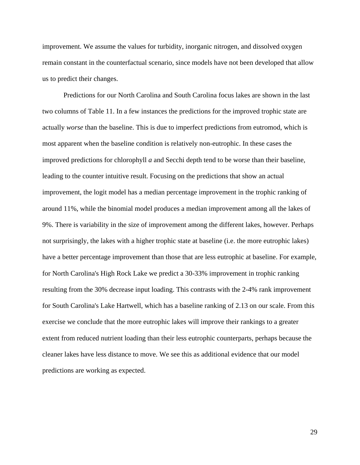improvement. We assume the values for turbidity, inorganic nitrogen, and dissolved oxygen remain constant in the counterfactual scenario, since models have not been developed that allow us to predict their changes.

 Predictions for our North Carolina and South Carolina focus lakes are shown in the last two columns of Table 11. In a few instances the predictions for the improved trophic state are actually *worse* than the baseline. This is due to imperfect predictions from eutromod, which is most apparent when the baseline condition is relatively non-eutrophic. In these cases the improved predictions for chlorophyll *a* and Secchi depth tend to be worse than their baseline, leading to the counter intuitive result. Focusing on the predictions that show an actual improvement, the logit model has a median percentage improvement in the trophic ranking of around 11%, while the binomial model produces a median improvement among all the lakes of 9%. There is variability in the size of improvement among the different lakes, however. Perhaps not surprisingly, the lakes with a higher trophic state at baseline (i.e. the more eutrophic lakes) have a better percentage improvement than those that are less eutrophic at baseline. For example, for North Carolina's High Rock Lake we predict a 30-33% improvement in trophic ranking resulting from the 30% decrease input loading. This contrasts with the 2-4% rank improvement for South Carolina's Lake Hartwell, which has a baseline ranking of 2.13 on our scale. From this exercise we conclude that the more eutrophic lakes will improve their rankings to a greater extent from reduced nutrient loading than their less eutrophic counterparts, perhaps because the cleaner lakes have less distance to move. We see this as additional evidence that our model predictions are working as expected.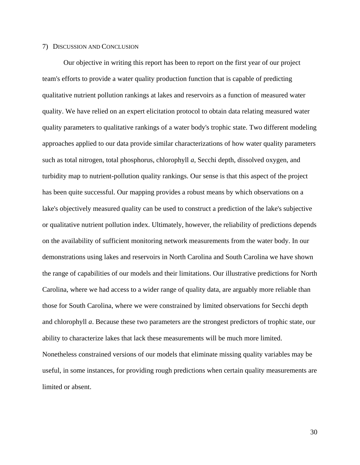## 7) DISCUSSION AND CONCLUSION

 Our objective in writing this report has been to report on the first year of our project team's efforts to provide a water quality production function that is capable of predicting qualitative nutrient pollution rankings at lakes and reservoirs as a function of measured water quality. We have relied on an expert elicitation protocol to obtain data relating measured water quality parameters to qualitative rankings of a water body's trophic state. Two different modeling approaches applied to our data provide similar characterizations of how water quality parameters such as total nitrogen, total phosphorus, chlorophyll *a*, Secchi depth, dissolved oxygen, and turbidity map to nutrient-pollution quality rankings. Our sense is that this aspect of the project has been quite successful. Our mapping provides a robust means by which observations on a lake's objectively measured quality can be used to construct a prediction of the lake's subjective or qualitative nutrient pollution index. Ultimately, however, the reliability of predictions depends on the availability of sufficient monitoring network measurements from the water body. In our demonstrations using lakes and reservoirs in North Carolina and South Carolina we have shown the range of capabilities of our models and their limitations. Our illustrative predictions for North Carolina, where we had access to a wider range of quality data, are arguably more reliable than those for South Carolina, where we were constrained by limited observations for Secchi depth and chlorophyll *a*. Because these two parameters are the strongest predictors of trophic state, our ability to characterize lakes that lack these measurements will be much more limited. Nonetheless constrained versions of our models that eliminate missing quality variables may be useful, in some instances, for providing rough predictions when certain quality measurements are limited or absent.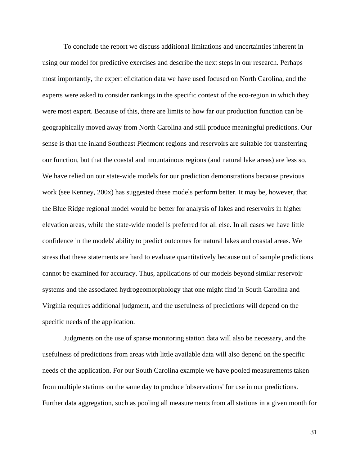To conclude the report we discuss additional limitations and uncertainties inherent in using our model for predictive exercises and describe the next steps in our research. Perhaps most importantly, the expert elicitation data we have used focused on North Carolina, and the experts were asked to consider rankings in the specific context of the eco-region in which they were most expert. Because of this, there are limits to how far our production function can be geographically moved away from North Carolina and still produce meaningful predictions. Our sense is that the inland Southeast Piedmont regions and reservoirs are suitable for transferring our function, but that the coastal and mountainous regions (and natural lake areas) are less so. We have relied on our state-wide models for our prediction demonstrations because previous work (see Kenney, 200x) has suggested these models perform better. It may be, however, that the Blue Ridge regional model would be better for analysis of lakes and reservoirs in higher elevation areas, while the state-wide model is preferred for all else. In all cases we have little confidence in the models' ability to predict outcomes for natural lakes and coastal areas. We stress that these statements are hard to evaluate quantitatively because out of sample predictions cannot be examined for accuracy. Thus, applications of our models beyond similar reservoir systems and the associated hydrogeomorphology that one might find in South Carolina and Virginia requires additional judgment, and the usefulness of predictions will depend on the specific needs of the application.

 Judgments on the use of sparse monitoring station data will also be necessary, and the usefulness of predictions from areas with little available data will also depend on the specific needs of the application. For our South Carolina example we have pooled measurements taken from multiple stations on the same day to produce 'observations' for use in our predictions. Further data aggregation, such as pooling all measurements from all stations in a given month for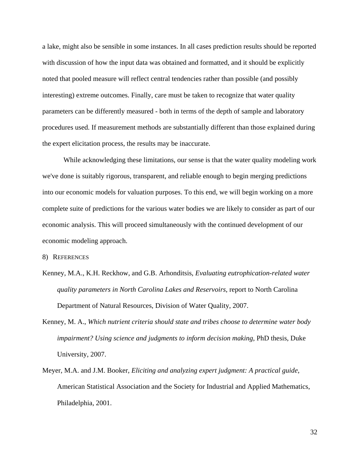a lake, might also be sensible in some instances. In all cases prediction results should be reported with discussion of how the input data was obtained and formatted, and it should be explicitly noted that pooled measure will reflect central tendencies rather than possible (and possibly interesting) extreme outcomes. Finally, care must be taken to recognize that water quality parameters can be differently measured - both in terms of the depth of sample and laboratory procedures used. If measurement methods are substantially different than those explained during the expert elicitation process, the results may be inaccurate.

 While acknowledging these limitations, our sense is that the water quality modeling work we've done is suitably rigorous, transparent, and reliable enough to begin merging predictions into our economic models for valuation purposes. To this end, we will begin working on a more complete suite of predictions for the various water bodies we are likely to consider as part of our economic analysis. This will proceed simultaneously with the continued development of our economic modeling approach.

8) REFERENCES

- Kenney, M.A., K.H. Reckhow, and G.B. Arhonditsis, *Evaluating eutrophication-related water quality parameters in North Carolina Lakes and Reservoirs*, report to North Carolina Department of Natural Resources, Division of Water Quality, 2007.
- Kenney, M. A., *Which nutrient criteria should state and tribes choose to determine water body impairment? Using science and judgments to inform decision making*, PhD thesis, Duke University, 2007.
- Meyer, M.A. and J.M. Booker, *Eliciting and analyzing expert judgment: A practical guide*, American Statistical Association and the Society for Industrial and Applied Mathematics, Philadelphia, 2001.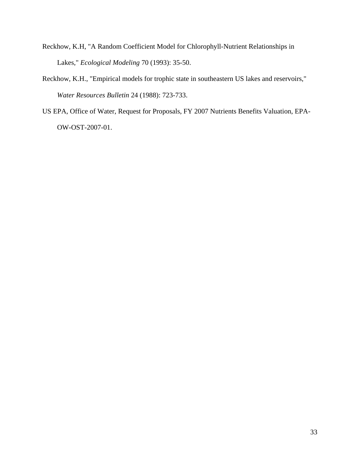- Reckhow, K.H, "A Random Coefficient Model for Chlorophyll-Nutrient Relationships in Lakes," *Ecological Modeling* 70 (1993): 35-50.
- Reckhow, K.H., "Empirical models for trophic state in southeastern US lakes and reservoirs," *Water Resources Bulletin* 24 (1988): 723-733.
- US EPA, Office of Water, Request for Proposals, FY 2007 Nutrients Benefits Valuation, EPA-OW-OST-2007-01.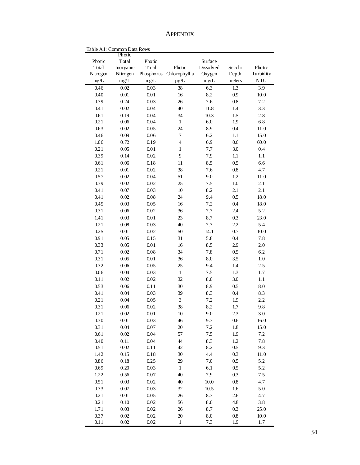APPENDIX

|          | COMMON D'ALA KOWS<br>Photic |            |                 |           |         |            |
|----------|-----------------------------|------------|-----------------|-----------|---------|------------|
| Photic   | Total                       | Photic     |                 | Surface   |         |            |
| Total    | Inorganic                   | Total      | Photic          | Dissolved | Secchi  | Photic     |
| Nitrogen | Nitrogen                    | Phosphorus | Chlorophyll a   | Oxygen    | Depth   | Turbidity  |
| mg/L     | mg/L                        | mg/L       | $\mu$ g/L       | mg/L      | meters  | <b>NTU</b> |
| 0.46     | $0.02\,$                    | 0.03       | $\overline{38}$ | 6.3       | 1.3     | 3.9        |
| 0.40     | $0.01\,$                    | $0.01\,$   | 16              | 8.2       | 0.9     | $10.0\,$   |
| 0.79     | 0.24                        | 0.03       | 26              | $7.6\,$   | 0.8     | 7.2        |
| 0.41     | 0.02                        | 0.04       | 40              | 11.8      | 1.4     | 3.3        |
| 0.61     | 0.19                        | 0.04       | 34              | 10.3      | 1.5     | 2.8        |
| 0.21     | 0.06                        | 0.04       | $\,1$           | 6.0       | 1.9     | $6.8$      |
| 0.63     | 0.02                        | 0.05       | 24              | 8.9       | 0.4     | $11.0\,$   |
| 0.46     | 0.09                        | 0.06       | $\tau$          | 6.2       | 1.1     | 15.0       |
| 1.06     | 0.72                        | 0.19       | $\overline{4}$  | 6.9       | 0.6     | 60.0       |
| 0.21     | 0.05                        | $0.01\,$   | $\,1$           | 7.7       | 3.0     | 0.4        |
| 0.39     | 0.14                        | 0.02       | 9               | 7.9       | 1.1     | 1.1        |
| 0.61     | 0.06                        | $0.18\,$   | 11              | 8.5       | $0.5\,$ | 6.6        |
| 0.21     | $0.01\,$                    | 0.02       | 38              | 7.6       | $0.8\,$ | 4.7        |
| 0.57     | $0.02\,$                    | 0.04       | 51              | 9.0       | 1.2     | 11.0       |
| 0.39     | $0.02\,$                    | 0.02       | 25              | $7.5\,$   | $1.0\,$ | 2.1        |
| 0.41     | $0.07\,$                    | 0.03       | $10\,$          | 8.2       | 2.1     | 2.1        |
| 0.41     | 0.02                        | 0.08       | 24              | 9.4       | 0.5     | $18.0\,$   |
| 0.45     | 0.03                        | 0.05       | 16              | 7.2       | 0.4     | $18.0\,$   |
| 0.31     | 0.06                        | 0.02       | 36              | $7.7\,$   | 2.4     | 5.2        |
|          |                             |            |                 |           |         | 23.0       |
| 1.41     | 0.03                        | 0.01       | 23              | 8.7       | 0.3     |            |
| 0.21     | $0.08\,$                    | 0.03       | 40              | 7.7       | 2.2     | 5.4        |
| 0.25     | $0.01\,$                    | 0.02       | 50              | 14.1      | 0.7     | $10.0$     |
| 0.91     | 0.05                        | 0.15       | 31              | 5.8       | 0.4     | 7.8        |
| 0.33     | 0.05                        | $0.01\,$   | 16              | 8.5       | 2.9     | $2.0\,$    |
| 0.71     | 0.02                        | 0.08       | 34              | 7.8       | 0.5     | $6.2\,$    |
| 0.31     | 0.05                        | $0.0\,1$   | 36              | $\rm 8.0$ | 3.5     | 1.0        |
| 0.32     | 0.06                        | 0.05       | 25              | 9.4       | 1.4     | 2.5        |
| 0.06     | 0.04                        | 0.03       | $\mathbf{1}$    | 7.5       | $1.3\,$ | $1.7\,$    |
| 0.11     | 0.02                        | 0.02       | 32              | 8.0       | 3.0     | 1.1        |
| 0.53     | 0.06                        | $0.1\,1$   | 30              | 8.9       | $0.5\,$ | 8.0        |
| 0.41     | $0.04\,$                    | 0.03       | 39              | 8.3       | $0.4\,$ | 8.3        |
| 0.21     | 0.04                        | 0.05       | $\mathfrak{Z}$  | $7.2\,$   | 1.9     | 2.2        |
| 0.31     | 0.06                        | 0.02       | 38              | 8.2       | $1.7\,$ | 9.8        |
| 0.21     | $0.02\,$                    | $0.0\,1$   | $10\,$          | 9.0       | 2.3     | 3.0        |
| 0.30     | 0.01                        | 0.03       | 46              | 9.3       | 0.6     | 16.0       |
| 0.31     | 0.04                        | 0.07       | $20\,$          | 7.2       | $1.8\,$ | 15.0       |
| 0.61     | 0.02                        | 0.04       | 57              | $7.5\,$   | 1.9     | 7.2        |
| 0.40     | 0.11                        | 0.04       | 44              | 8.3       | 1.2     | 7.8        |
| 0.51     | 0.02                        | $0.1\,1$   | 42              | 8.2       | 0.5     | 9.3        |
| 1.42     | 0.15                        | $0.18\,$   | 30              | 4.4       | 0.3     | 11.0       |
| 0.86     | 0.18                        | 0.25       | 29              | 7.0       | 0.5     | 5.2        |
| 0.69     | 0.20                        | 0.03       | $\mathbf{1}$    | 6.1       | 0.5     | 5.2        |
| 1.22     | 0.56                        | 0.07       | 40              | 7.9       | 0.3     | 7.5        |
| 0.51     | 0.03                        | 0.02       | 40              | 10.0      | $0.8\,$ | 4.7        |
| 0.33     | 0.07                        | 0.03       | 32              | 10.5      | $1.6\,$ | 5.0        |
| 0.21     | $0.01\,$                    | 0.05       | $26\,$          | 8.3       | 2.6     | 4.7        |
| 0.21     | 0.10                        | 0.02       | 56              | 8.0       | $4.8\,$ | 3.8        |
| 1.71     | 0.03                        | 0.02       | 26              | 8.7       | 0.3     | 25.0       |
| 0.37     | 0.02                        | 0.02       | $20\,$          | 8.0       | 0.8     | $10.0$     |
| 0.11     | 0.02                        | 0.02       | $\mathbf{1}$    | 7.3       | 1.9     | 1.7        |

Table A1: Common Data Rows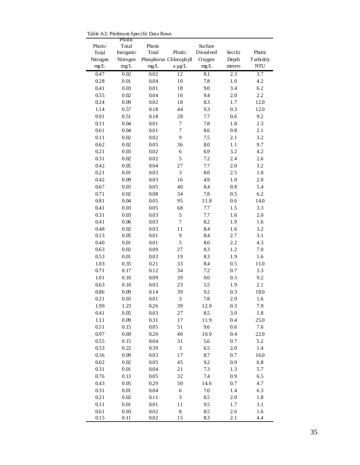Table A2: Piedmont-Specific Data Rows

|          | Photic    |          |                        |                  |                  |                  |
|----------|-----------|----------|------------------------|------------------|------------------|------------------|
| Photic   | Total     | Photic   |                        | Surface          |                  |                  |
| Total    | Inorganic | Total    | Photic                 | Dissolved        | Secchi           | Photic           |
| Nitrogen | Nitrogen  |          | Phosphorus Chlorophyll | Oxygen           | Depth            | Turbidity        |
| $mg/L$   | $mg/L$    | mg/L     | $a \mu g/L$            | mg/L             | meters           | NTU              |
| 0.47     | $0.02\,$  | 0.02     | $\overline{12}$        | $\overline{8.1}$ | $2.\overline{3}$ | $\overline{3.7}$ |
| 0.28     | $0.01\,$  | 0.04     | 10                     | 7.8              | 1.0              | 4.2              |
| 0.41     | 0.03      | $0.01\,$ | 18                     | 9.0              | 3.4              | 6.2              |
| 0.55     | $0.02\,$  | 0.04     | 16                     | 9.4              | 2.0              | 2.2              |
| 0.24     | 0.09      | 0.02     | 18                     | 8.3              | 1.7              | 12.0             |
| 1.14     | 0.57      | 0.18     | 44                     | 9.3              | 0.3              | 12.0             |
| 0.91     | 0.51      | 0.18     | 28                     | 7.7              | 0.6              | 9.2              |
| 0.11     | 0.04      | $0.01\,$ | $\tau$                 | 7.8              | 1.8              | 2.3              |
| 0.61     | 0.04      | $0.01\,$ | $\boldsymbol{7}$       | 8.6              | 0.8              | 2.1              |
| 0.11     | $0.02\,$  | 0.02     | 9                      | 7.5              | 2.1              | 3.2              |
| 0.62     | $0.02\,$  | 0.05     | 36                     | 8.0              | 1.1              | 9.7              |
| 0.21     | 0.03      | 0.02     | 6                      | 6.9              | 3.2              | 4.2              |
| 0.31     | $0.02\,$  | 0.02     | 5                      | 7.2              | 2.4              | 2.6              |
| 0.42     | 0.05      | 0.04     | 27                     | 7.7              | 2.0              | 3.2              |
| 0.21     | $0.01\,$  | 0.03     | $\overline{3}$         | 8.0              | 2.5              | $1.0\,$          |
| 0.42     | 0.09      | 0.03     | 16                     | 4.9              | 1.0              | $2.0\,$          |
| 0.67     | 0.03      | 0.05     | 40                     | 8.4              | 0.8              | 5.4              |
| 0.71     | $0.02\,$  | 0.08     | 34                     | 7.8              | 0.5              | 6.2              |
| $0.81\,$ | 0.04      | 0.05     | 95                     | 11.8             | 0.6              | 14.0             |
| 0.41     | 0.03      | 0.05     | 68                     | 7.7              | 1.5              | 3.3              |
| 0.31     | 0.03      | 0.03     | 5                      | 7.7              | 1.6              | $2.0\,$          |
| 0.41     | 0.06      | 0.03     | $\tau$                 | 8.2              | 1.9              | 1.6              |
| 0.48     | $0.02\,$  | 0.03     | 11                     | 8.4              | 1.6              | 3.2              |
| 0.13     | 0.05      | $0.01\,$ | $\mathbf{9}$           | 8.4              | 2.7              | 3.1              |
| 0.40     | $0.01\,$  | $0.01\,$ | 5                      | 8.0              | 2.2              | 4.3              |
| 0.63     | $0.02\,$  | 0.09     | 27                     | 8.3              | $1.2\,$          | $7.0\,$          |
| 0.53     | $0.01\,$  | 0.03     | 19                     | 8.3              | 1.9              | 1.6              |
| 1.03     | 0.35      | 0.21     | 33                     | 8.4              | 0.5              | 11.0             |
| 0.71     | 0.17      | 0.12     | 34                     | 7.2              | 0.7              | 3.3              |
| 1.01     | 0.10      | 0.09     | 39                     | 9.0              | 0.3              | 9.2              |
| 0.63     | 0.10      | 0.03     | 23                     | 5.5              |                  | 2.1              |
| 0.86     |           | 0.14     | 39                     | 9.2              | 1.9<br>0.3       | 18.0             |
|          | 0.09      | 0.01     | 3                      |                  |                  | 1.6              |
| 0.21     | 0.03      |          |                        | 7.8              | 2.0              |                  |
| 1.90     | 1.23      | 0.26     | 39                     | 12.0             | 0.3              | 7.9              |
| 0.41     | 0.05      | 0.03     | 27                     | 8.5              | 3.0              | 1.8              |
| 1.11     | 0.09      | 0.31     | 17                     | 11.9             | 0.4              | 25.0             |
| 0.51     | 0.15      | 0.05     | 51                     | 9.6              | 0.6              | 7.6              |
| 0.97     | 0.69      | 0.20     | 40                     | 10.0             | 0.4              | 22.0             |
| 0.55     | 0.15      | 0.04     | 31                     | 5.6              | 0.7              | 5.2              |
| 0.53     | 0.22      | 0.39     | 3                      | 6.5              | 2.0              | 1.4              |
| 0.36     | 0.09      | 0.03     | $17\,$                 | 8.7              | 0.7              | 16.0             |
| 0.62     | 0.02      | 0.05     | 45                     | 9.2              | 0.9              | 6.8              |
| 0.31     | $0.01\,$  | 0.04     | $2\sqrt{1}$            | 7.3              | 1.3              | 5.7              |
| 0.76     | 0.13      | 0.05     | 32                     | $7.4\,$          | 0.9              | 6.5              |
| 0.43     | 0.05      | 0.29     | 50                     | 14.6             | 0.7              | 4.7              |
| 0.31     | $0.01\,$  | 0.04     | $\sqrt{6}$             | $7.0\,$          | 1.4              | 6.3              |
| 0.21     | 0.02      | 0.11     | 3                      | 8.5              | 2.0              | 1.8              |
| 0.11     | $0.01\,$  | $0.01\,$ | 11                     | 9.5              | 1.7              | 3.1              |
| $0.61\,$ | $0.03\,$  | 0.02     | $\,$ 8 $\,$            | 8.5              | 2.6              | 1.6              |
| 0.15     | 0.11      | 0.02     | 15                     | 8.3              | 2.1              | 4.4              |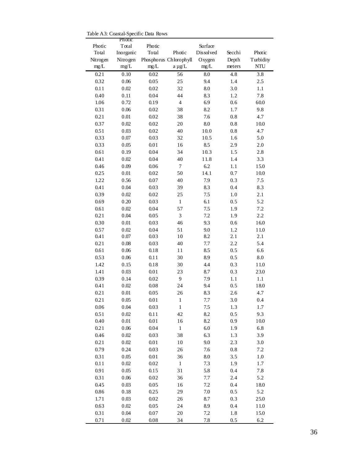Table A3: Coastal-Specific Data Rows

| Photic<br>Photic<br>Surface<br>Total                        |                                      |
|-------------------------------------------------------------|--------------------------------------|
| Photic<br>Dissolved<br>Total<br>Inorganic<br>Total          | Secchi<br>Photic                     |
| Phosphorus Chlorophyll<br>Nitrogen<br>Nitrogen<br>Oxygen    | Turbidity<br>Depth                   |
| mg/L<br>mg/L<br>mg/L<br>mg/L<br>a µg/L                      | NTU<br>meters                        |
| 0.21<br>0.10<br>0.02<br>$\overline{56}$<br>$\overline{8.0}$ | $\overline{4.8}$<br>$\overline{3.8}$ |
| 25<br>9.4<br>0.32<br>0.06<br>0.05                           | 1.4<br>2.5                           |
| 32<br>0.11<br>$0.02\,$<br>0.02<br>8.0                       | 3.0<br>1.1                           |
| 0.40<br>0.04<br>44<br>0.11<br>8.3                           | 1.2<br>7.8                           |
| $\overline{4}$<br>1.06<br>0.72<br>0.19<br>6.9               | 60.0<br>0.6                          |
| 0.31<br>0.06<br>0.02<br>38<br>8.2                           | 9.8<br>1.7                           |
| 0.21<br>0.01<br>0.02<br>38<br>7.6                           | 4.7<br>0.8                           |
| 0.37<br>0.02<br>0.02<br>20<br>$\rm 8.0$                     | 0.8<br>10.0                          |
| 0.51<br>0.03<br>0.02<br>40<br>$10.0$                        | 4.7<br>0.8                           |
| 0.33<br>0.07<br>0.03<br>32<br>10.5                          | 5.0<br>1.6                           |
| 0.33<br>0.05<br>0.01<br>16<br>8.5                           | 2.9<br>$2.0\,$                       |
| 0.04<br>34<br>0.61<br>0.19<br>10.3                          | 1.5<br>2.8                           |
| 0.41<br>0.02<br>0.04<br>40<br>11.8                          | 3.3<br>1.4                           |
| 0.46<br>6.2<br>0.09<br>0.06<br>$\tau$                       | 1.1<br>15.0                          |
| 50<br>14.1<br>0.25<br>$0.01\,$<br>0.02                      | 0.7<br>10.0                          |
| 1.22                                                        |                                      |
| 0.56<br>0.07<br>40<br>7.9                                   | 0.3<br>7.5                           |
| 0.41<br>39<br>0.04<br>0.03<br>8.3                           | 8.3<br>0.4                           |
| 0.39<br>0.02<br>0.02<br>25<br>7.5                           | 1.0<br>2.1                           |
| 0.69<br>0.20<br>0.03<br>$\mathbf{1}$<br>6.1                 | 5.2<br>0.5                           |
| 57<br>0.61<br>0.02<br>0.04<br>7.5                           | 7.2<br>1.9                           |
| 0.21<br>3<br>0.04<br>0.05<br>7.2                            | 2.2<br>1.9                           |
| 0.30<br>0.01<br>0.03<br>46<br>9.3                           | 16.0<br>0.6                          |
| 51<br>0.57<br>0.02<br>0.04<br>9.0                           | 1.2<br>$11.0\,$                      |
| 10<br>0.41<br>0.07<br>0.03<br>8.2                           | 2.1<br>2.1                           |
| 0.21<br>0.08<br>0.03<br>40<br>7.7                           | 5.4<br>2.2                           |
| 0.61<br>0.06<br>0.18<br>11<br>8.5                           | 0.5<br>6.6                           |
| 30<br>0.53<br>0.06<br>0.11<br>8.9                           | 0.5<br>$\rm 8.0$                     |
| 1.42<br>0.15<br>0.18<br>30<br>4.4                           | 0.3<br>11.0                          |
| 1.41<br>0.03<br>$0.01\,$<br>23<br>8.7                       | 0.3<br>23.0                          |
| 9<br>0.39<br>0.14<br>0.02<br>7.9                            | 1.1<br>1.1                           |
| 0.41<br>24<br>0.02<br>0.08<br>9.4                           | 0.5<br>18.0                          |
| 0.21<br>0.01<br>0.05<br>26<br>8.3                           | 2.6<br>4.7                           |
| 0.21<br>$0.05\,$<br>$0.01\,$<br>$\mathbf 1$<br>$7.7\,$      | $3.0\,$<br>0.4                       |
| $\mathbf{1}$<br>0.06<br>0.04<br>0.03<br>7.5                 | 1.3<br>1.7                           |
| 0.51<br>42<br>8.2<br>0.02<br>0.11                           | 0.5<br>9.3                           |
| 0.40<br>0.01<br>0.01<br>16<br>8.2                           | 0.9<br>10.0                          |
| $\,1\,$<br>$6.0\,$<br>0.21<br>0.06<br>0.04                  | 6.8<br>1.9                           |
| 0.46<br>38<br>6.3<br>0.02<br>0.03                           | 3.9<br>1.3                           |
| 0.21<br>0.02<br>$0.01\,$<br>10<br>9.0                       | 2.3<br>3.0                           |
| 0.79<br>26<br>$7.6\,$<br>0.24<br>0.03                       | 7.2<br>0.8                           |
| 36<br>0.31<br>0.05<br>$0.01\,$<br>$8.0\,$                   | 3.5<br>1.0                           |
| $\mathbf 1$<br>0.11<br>0.02<br>0.02<br>7.3                  | 1.7<br>1.9                           |
| 31<br>5.8<br>0.91<br>0.05<br>0.15                           | 7.8<br>0.4                           |
| 36<br>0.31<br>0.06<br>0.02<br>7.7                           | 2.4<br>5.2                           |
| 7.2<br>0.45<br>0.03<br>0.05<br>16                           | 0.4<br>18.0                          |
| 29<br>0.86<br>0.18<br>0.25<br>7.0                           | 5.2<br>0.5                           |
| 26<br>1.71<br>0.03<br>0.02<br>8.7                           | 0.3<br>25.0                          |
| 24<br>0.63<br>0.02<br>0.05<br>8.9                           | 0.4<br>11.0                          |
| 20<br>0.31<br>0.04<br>0.07<br>7.2                           | 1.8<br>15.0                          |
| 34<br>0.71<br>0.02<br>0.08<br>7.8                           | 6.2<br>0.5                           |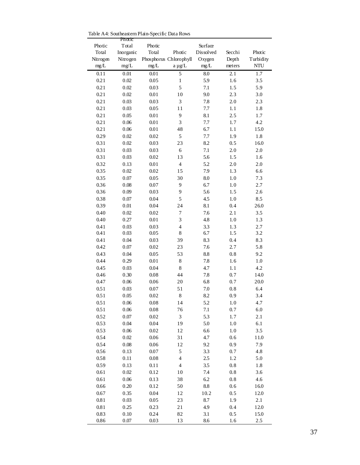Table A4: Southeastern Plain-Specific Data Rows

|                 | Photic             | Photic   |                        | Surface    |         |                  |
|-----------------|--------------------|----------|------------------------|------------|---------|------------------|
| Photic<br>Total | Total<br>Inorganic | Total    | Photic                 | Dissolved  | Secchi  | Photic           |
| Nitrogen        | Nitrogen           |          | Phosphorus Chlorophyll | Oxygen     | Depth   | Turbidity        |
| mg/L            | mg/L               | mg/L     | a µg/L                 | mg/L       | meters  | NTU              |
| 0.11            | 0.01               | 0.01     | 5                      | 8.0        | 2.1     | $\overline{1.7}$ |
| 0.21            | 0.02               | 0.05     | 1                      | 5.9        | 1.6     | 3.5              |
| 0.21            | 0.02               | 0.03     | 5                      | 7.1        | 1.5     | 5.9              |
| 0.21            | 0.02               | 0.01     | 10                     | 9.0        | 2.3     | 3.0              |
| 0.21            | 0.03               | 0.03     | 3                      | 7.8        | 2.0     | 2.3              |
| 0.21            | 0.03               | 0.05     | 11                     | 7.7        | 1.1     | 1.8              |
| 0.21            | 0.05               | 0.01     | 9                      | 8.1        | 2.5     | 1.7              |
| 0.21            | 0.06               | 0.01     | 3                      | 7.7        | 1.7     | 4.2              |
| 0.21            | 0.06               | 0.01     | 48                     | 6.7        | 1.1     | 15.0             |
| 0.29            | 0.02               | 0.02     | 5                      | 7.7        | 1.9     | 1.8              |
| 0.31            | 0.02               | 0.03     | 23                     | 8.2        | 0.5     | 16.0             |
| 0.31            | 0.03               | 0.03     | 6                      | 7.1        | 2.0     | 2.0              |
| 0.31            | 0.03               | 0.02     | 13                     | 5.6        | 1.5     | 1.6              |
| 0.32            | 0.13               | 0.01     | $\overline{4}$         | 5.2        | 2.0     | $2.0\,$          |
| 0.35            | 0.02               | 0.02     | 15                     | 7.9        | 1.3     | 6.6              |
| 0.35            | 0.07               | 0.05     | 30                     | 8.0        | 1.0     | 7.3              |
| 0.36            | 0.08               | 0.07     | 9                      | 6.7        | 1.0     | 2.7              |
| 0.36            | 0.09               | 0.03     | 9                      | 5.6        | 1.5     | 2.6              |
| 0.38            | 0.07               | 0.04     | 5                      | 4.5        | 1.0     | 8.5              |
| 0.39            | 0.01               | 0.04     | 24                     | 8.1        | 0.4     | 26.0             |
| 0.40            | 0.02               | 0.02     | 7                      | 7.6        | 2.1     | 3.5              |
| 0.40            | 0.27               | 0.01     | 3                      | 4.8        | 1.0     | 1.3              |
| 0.41            | 0.03               | 0.03     | $\overline{4}$         | 3.3        | 1.3     | 2.7              |
| 0.41            | 0.03               | 0.05     | $\,$ 8 $\,$            | 6.7        | 1.5     | 3.2              |
| 0.41            | 0.04               | 0.03     | 39                     | 8.3        | 0.4     | 8.3              |
| 0.42            | 0.07               | 0.02     | 23                     | 7.6        | 2.7     | 5.8              |
| 0.43            | 0.04               | 0.05     | 53                     | 8.8        | 0.8     | 9.2              |
| 0.44            | 0.29               | 0.01     | $\bf 8$                | 7.8        | 1.6     | 1.0              |
| 0.45            | 0.03               | 0.04     | $\,$ 8 $\,$            | 4.7        | 1.1     | 4.2              |
| 0.46            | 0.30               | 0.08     | 44                     | 7.8        | 0.7     | 14.0             |
| 0.47            | 0.06               | 0.06     | 20                     | 6.8        | 0.7     | 20.0             |
| 0.51            | 0.03               | 0.07     | 51                     | 7.0        | 0.8     | 6.4              |
| 0.51            | 0.05               | 0.02     | $\,$ 8 $\,$            | 8.2        | 0.9     | 3.4              |
| 0.51            | 0.06               | 0.08     | 14                     | 5.2        | 1.0     | 4.7              |
| 0.51            | 0.06               | $0.08\,$ | 76                     | $7.1\,$    | 0.7     | 6.0              |
| 0.52            | 0.07               | 0.02     | $\sqrt{3}$             | 5.3        | 1.7     | 2.1              |
| 0.53            | 0.04               | 0.04     | 19                     | 5.0        | 1.0     | 6.1              |
| 0.53            | 0.06               | 0.02     | 12                     | 6.6        | $1.0\,$ | 3.5              |
| 0.54            | 0.02               | 0.06     | 31                     | 4.7        | 0.6     | 11.0             |
| 0.54            | 0.08               | 0.06     | 12                     | 9.2        | 0.9     | 7.9              |
| 0.56            | 0.13               | $0.07\,$ | 5                      | 3.3        | 0.7     | 4.8              |
| 0.58            | 0.11               | 0.08     | $\overline{4}$         | $2.5\,$    | 1.2     | 5.0              |
| 0.59            | 0.13               | 0.11     | $\overline{4}$         | $3.5\,$    | 0.8     | 1.8              |
| 0.61            | $0.02\,$           | 0.12     | 10                     | $7.4\,$    | $0.8\,$ | 3.6              |
| 0.61            | 0.06               | 0.13     | 38                     | 6.2        | $0.8\,$ | 4.6              |
| 0.66            | 0.20               | 0.12     | 50                     | $\ \, 8.8$ | 0.6     | 16.0             |
| 0.67            | 0.35               | 0.04     | 12                     | 10.2       | 0.5     | $12.0\,$         |
| 0.81            | 0.03               | 0.05     | 23                     | 8.7        | 1.9     | 2.1              |
| 0.81            | 0.25               | 0.23     | 21                     | 4.9        | 0.4     | 12.0             |
| 0.83            | 0.10               | 0.24     | 82                     | 3.1        | 0.5     | 15.0             |
| 0.86            | 0.07               | 0.03     | 13                     | 8.6        | 1.6     | 2.5              |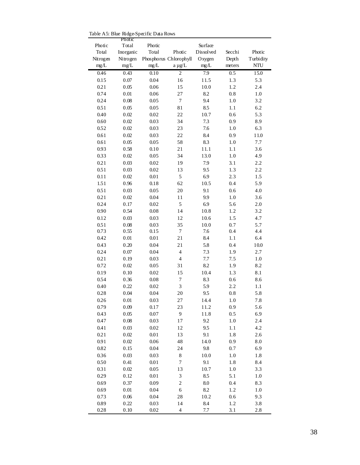Table A5: Blue Ridge-Specific Data Rows

|          | Photic    |          |                        |           |                  |           |
|----------|-----------|----------|------------------------|-----------|------------------|-----------|
| Photic   | Total     | Photic   |                        | Surface   |                  |           |
| Total    | Inorganic | Total    | Photic                 | Dissolved | Secchi           | Photic    |
| Nitrogen | Nitrogen  |          | Phosphorus Chlorophyll | Oxygen    | Depth            | Turbidity |
| mg/L     | mg/L      | mg/L     | a µg/L                 | $mg/L$    | meters           | NTU       |
| 0.46     | 0.43      | 0.10     | $\overline{c}$         | 7.9       | $\overline{0.5}$ | 15.0      |
| 0.15     | $0.07\,$  | 0.04     | 16                     | 11.5      | 1.3              | 5.3       |
| 0.21     | 0.05      | 0.06     | 15                     | 10.0      | 1.2              | 2.4       |
| 0.74     | 0.01      | 0.06     | 27                     | 8.2       | 0.8              | 1.0       |
| 0.24     | 0.08      | 0.05     | $\boldsymbol{7}$       | 9.4       | 1.0              | 3.2       |
| 0.51     | 0.05      | 0.05     | 81                     | 8.5       | 1.1              | 6.2       |
| 0.40     | 0.02      | 0.02     | 22                     | $10.7\,$  | 0.6              | 5.3       |
| 0.60     | 0.02      | 0.03     | 34                     | 7.3       | 0.9              | 8.9       |
| 0.52     | 0.02      | 0.03     | 23                     | 7.6       | 1.0              | 6.3       |
| 0.61     | 0.02      | 0.03     | 22                     | 8.4       | 0.9              | 11.0      |
| 0.61     | 0.05      | 0.05     | 58                     | 8.3       | 1.0              | 7.7       |
| 0.93     | 0.58      | 0.10     | 21                     | 11.1      | 1.1              | 3.6       |
| 0.33     | 0.02      | 0.05     | 34                     | 13.0      | 1.0              | 4.9       |
|          |           |          |                        |           |                  |           |
| 0.21     | 0.03      | 0.02     | 19                     | 7.9       | 3.1              | 2.2       |
| 0.51     | 0.03      | 0.02     | 13                     | 9.5       | 1.3              | 2.2       |
| 0.11     | 0.02      | $0.01\,$ | $\mathfrak s$          | 6.9       | 2.3              | 1.5       |
| 1.51     | 0.96      | 0.18     | 62                     | 10.5      | 0.4              | 5.9       |
| 0.51     | 0.03      | 0.05     | 20                     | 9.1       | 0.6              | 4.0       |
| 0.21     | 0.02      | 0.04     | 11                     | 9.9       | 1.0              | 3.6       |
| 0.24     | 0.17      | 0.02     | 5                      | 6.9       | 5.6              | 2.0       |
| 0.90     | 0.54      | 0.08     | 14                     | 10.8      | 1.2              | 3.2       |
| 0.12     | 0.03      | 0.03     | 12                     | 10.6      | 1.5              | 4.7       |
| 0.51     | $0.08\,$  | 0.03     | 35                     | 10.0      | 0.7              | 5.7       |
| 0.73     | 0.55      | 0.15     | $\tau$                 | 7.6       | 0.4              | 4.4       |
| 0.42     | $0.01\,$  | $0.01\,$ | 21                     | 8.4       | 1.1              | 6.4       |
| 0.43     | 0.20      | 0.04     | 21                     | 5.8       | 0.4              | 10.0      |
| 0.24     | $0.07\,$  | 0.04     | $\overline{4}$         | 7.3       | 1.9              | 2.7       |
| 0.21     | 0.19      | 0.03     | $\overline{4}$         | $7.7\,$   | 7.5              | $1.0\,$   |
| 0.72     | $0.02\,$  | 0.05     | 31                     | 8.2       | 1.9              | 8.2       |
| 0.19     | 0.10      | 0.02     | 15                     | 10.4      | 1.3              | 8.1       |
| 0.54     | 0.36      | 0.08     | $\sqrt{ }$             | 8.3       | 0.6              | 8.6       |
| 0.40     | 0.22      | 0.02     | 3                      | 5.9       | 2.2              | 1.1       |
| 0.28     | 0.04      | 0.04     | 20                     | 9.5       | 0.8              | 5.8       |
| $0.26\,$ | $0.01\,$  | 0.03     | 27                     | 14.4      | $1.0\,$          | 7.8       |
| 0.79     | 0.09      | 0.17     | 23                     | 11.2      | 0.9              | 5.6       |
| 0.43     | 0.05      | 0.07     | 9                      | 11.8      | 0.5              | 6.9       |
| 0.47     | $0.08\,$  | 0.03     | 17                     | 9.2       | 1.0              | 2.4       |
| 0.41     | 0.03      | 0.02     | 12                     | 9.5       | 1.1              | 4.2       |
| 0.21     | 0.02      | 0.01     | 13                     | 9.1       | 1.8              | 2.6       |
| 0.91     | $0.02\,$  | 0.06     | 48                     | 14.0      | 0.9              | 8.0       |
| 0.82     | 0.15      | 0.04     | 24                     | 9.8       | 0.7              | 6.9       |
| 0.36     | 0.03      | 0.03     | $\bf 8$                | $10.0$    | 1.0              | 1.8       |
| 0.50     | 0.41      | $0.01\,$ | 7                      | 9.1       | 1.8              | 8.4       |
| 0.31     | 0.02      | 0.05     | 13                     | 10.7      | 1.0              | 3.3       |
| 0.29     | 0.12      | 0.01     | $\mathfrak{Z}$         | 8.5       | 5.1              | $1.0\,$   |
| 0.69     | 0.37      | 0.09     | $\overline{c}$         | $\ \ 8.0$ | 0.4              | 8.3       |
|          |           |          |                        |           |                  |           |
| 0.69     | 0.01      | 0.04     | 6                      | 8.2       | 1.2              | 1.0       |
| 0.73     | 0.06      | 0.04     | 28                     | 10.2      | 0.6              | 9.3       |
| 0.89     | 0.22      | 0.03     | 14                     | 8.4       | 1.2              | 3.8       |
| 0.28     | 0.10      | 0.02     | $\overline{4}$         | 7.7       | 3.1              | 2.8       |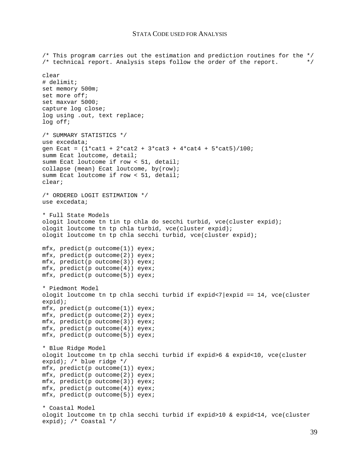#### STATA CODE USED FOR ANALYSIS

/\* This program carries out the estimation and prediction routines for the \*/  $\frac{1}{2}$  technical report. Analysis steps follow the order of the report.  $\frac{1}{2}$ clear # delimit; set memory 500m; set more off; set maxvar 5000; capture log close; log using .out, text replace; log off; /\* SUMMARY STATISTICS \*/ use excedata; gen Ecat =  $(1 * \text{cat1} + 2 * \text{cat2} + 3 * \text{cat3} + 4 * \text{cat4} + 5 * \text{cat5})/100$ ; summ Ecat loutcome, detail; summ Ecat loutcome if row < 51, detail; collapse (mean) Ecat loutcome, by(row); summ Ecat loutcome if row < 51, detail; clear; /\* ORDERED LOGIT ESTIMATION \*/ use excedata; \* Full State Models ologit loutcome tn tin tp chla do secchi turbid, vce(cluster expid); ologit loutcome tn tp chla turbid, vce(cluster expid); ologit loutcome tn tp chla secchi turbid, vce(cluster expid); mfx, predict(p outcome(1)) eyex; mfx, predict(p outcome(2)) eyex; mfx, predict(p outcome(3)) eyex; mfx, predict(p outcome(4)) eyex; mfx, predict(p outcome(5)) eyex; \* Piedmont Model ologit loutcome tn tp chla secchi turbid if expid<7|expid == 14, vce(cluster expid); mfx, predict(p outcome(1)) eyex; mfx, predict(p outcome(2)) eyex; mfx, predict(p outcome(3)) eyex;  $mfx$ , predict(p outcome(4)) eyex; mfx, predict(p outcome(5)) eyex; \* Blue Ridge Model ologit loutcome tn tp chla secchi turbid if expid>6 & expid<10, vce(cluster expid); /\* blue ridge \*/ mfx, predict(p outcome(1)) eyex; mfx, predict(p outcome(2)) eyex; mfx, predict(p outcome(3)) eyex; mfx, predict(p outcome(4)) eyex; mfx, predict(p outcome(5)) eyex; \* Coastal Model ologit loutcome tn tp chla secchi turbid if expid>10 & expid<14, vce(cluster expid); /\* Coastal \*/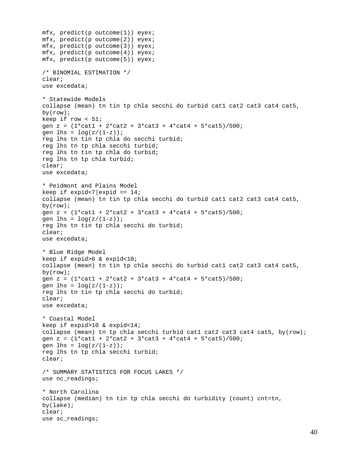```
mfx, predict(p outcome(1)) eyex; 
mfx, predict(p outcome(2)) eyex; 
mfx, predict(p outcome(3)) eyex; 
mfx, predict(p outcome(4)) eyex; 
mfx, predict(p outcome(5)) eyex; 
/* BINOMIAL ESTIMATION */ 
clear; 
use excedata; 
* Statewide Models 
collapse (mean) tn tin tp chla secchi do turbid cat1 cat2 cat3 cat4 cat5, 
by(row); 
keep if row < 51; 
gen z = (1*cat1 + 2*cat2 + 3*cat3 + 4*cat4 + 5*cat5)/500;
gen lhs = log(z/(1-z));
reg lhs tn tin tp chla do secchi turbid; 
reg lhs tn tp chla secchi turbid; 
reg lhs tn tin tp chla do turbid; 
reg lhs tn tp chla turbid; 
clear; 
use excedata; 
* Peidmont and Plains Model 
keep if expid<7 | expid == 14;
collapse (mean) tn tin tp chla secchi do turbid cat1 cat2 cat3 cat4 cat5, 
by(row); 
gen z = (1 * \text{cat1} + 2 * \text{cat2} + 3 * \text{cat3} + 4 * \text{cat4} + 5 * \text{cat5})/500;
gen lhs = log(z/(1-z));
reg lhs tn tin tp chla secchi do turbid; 
clear; 
use excedata; 
* Blue Ridge Model 
keep if expid>6 & expid<10; 
collapse (mean) tn tin tp chla secchi do turbid cat1 cat2 cat3 cat4 cat5, 
by(row); 
gen z = (1 * \text{cat1} + 2 * \text{cat2} + 3 * \text{cat3} + 4 * \text{cat4} + 5 * \text{cat5})/500;
gen \ln s = \log(z/(1-z));
reg lhs tn tin tp chla secchi do turbid; 
clear; 
use excedata; 
* Coastal Model 
keep if expid>10 & expid<14; 
collapse (mean) tn tp chla secchi turbid cat1 cat2 cat3 cat4 cat5, by(row);
gen z = (1*cat1 + 2*cat2 + 3*cat3 + 4*cat4 + 5*cat5)/500;
gen lhs = log(z/(1-z));
reg lhs tn tp chla secchi turbid; 
clear; 
/* SUMMARY STATISTICS FOR FOCUS LAKES */ 
use nc readings;
* North Carolina 
collapse (median) tn tin tp chla secchi do turbidity (count) cnt=tn, 
by(lake)iclear; 
use sc_readings;
```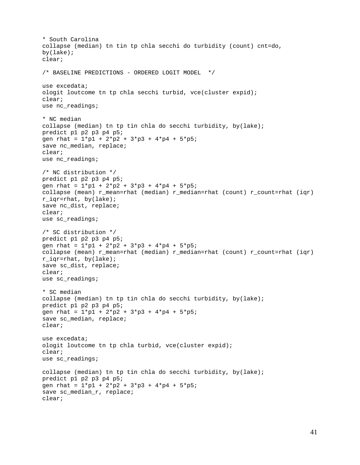```
* South Carolina 
collapse (median) tn tin tp chla secchi do turbidity (count) cnt=do, 
by(lake); 
clear; 
/* BASELINE PREDICTIONS - ORDERED LOGIT MODEL */ 
use excedata; 
ologit loutcome tn tp chla secchi turbid, vce(cluster expid); 
clear; 
use nc_readings; 
* NC median 
collapse (median) tn tp tin chla do secchi turbidity, by(lake); 
predict p1 p2 p3 p4 p5; 
gen rhat = 1*pi + 2*pi2 + 3*pi3 + 4*pi4 + 5*pi;
save nc_median, replace; 
clear; 
use nc_readings; 
/* NC distribution */ 
predict p1 p2 p3 p4 p5; 
gen rhat = 1*pi + 2*pi2 + 3*pi3 + 4*pi4 + 5*pi;
collapse (mean) r_mean=rhat (median) r_median=rhat (count) r_count=rhat (iqr) 
r_iqr=rhat, by(lake); 
save nc_dist, replace; 
clear; 
use sc_readings; 
/* SC distribution */ 
predict p1 p2 p3 p4 p5; 
gen rhat = 1*p1 + 2*p2 + 3*p3 + 4*p4 + 5*p5; 
collapse (mean) r_mean=rhat (median) r_median=rhat (count) r_count=rhat (iqr) 
r iqr=rhat, by(lake);
save sc_dist, replace; 
clear; 
use sc_readings; 
* SC median 
collapse (median) tn tp tin chla do secchi turbidity, by(lake); 
predict p1 p2 p3 p4 p5; 
gen rhat = 1*pi + 2*pi2 + 3*pi3 + 4*pi4 + 5*pi;
save sc_median, replace; 
clear; 
use excedata; 
ologit loutcome tn tp chla turbid, vce(cluster expid);
clear; 
use sc_readings; 
collapse (median) tn tp tin chla do secchi turbidity, by(lake); 
predict p1 p2 p3 p4 p5; 
gen rhat = 1*pi + 2*pi2 + 3*pi3 + 4*pi4 + 5*pi;
save sc median r, replace;
clear;
```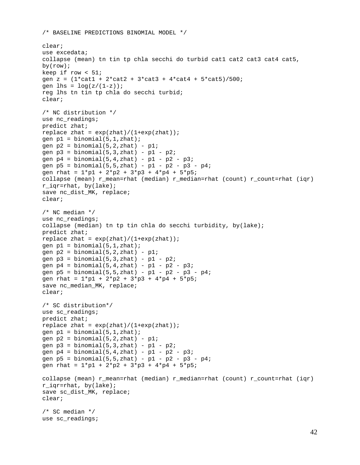/\* BASELINE PREDICTIONS BINOMIAL MODEL \*/

```
clear; 
use excedata; 
collapse (mean) tn tin tp chla secchi do turbid cat1 cat2 cat3 cat4 cat5, 
by(row); 
keep if row < 51igen z = (1 * \text{cat1} + 2 * \text{cat2} + 3 * \text{cat3} + 4 * \text{cat4} + 5 * \text{cat5})/500;
gen lhs = log(z/(1-z));
reg lhs tn tin tp chla do secchi turbid; 
clear; 
/* NC distribution */ 
use nc readings;
predict zhat; 
replace zhat = exp(zhat)/(1+exp(zhat));
gen p1 = binomial(5, 1, zhat);
qen p2 = binomial(5, 2, zhat) - p1;
gen p3 = binomial(5, 3, zhat) - p1 - p2;
gen p4 = binomial(5, 4, zhat) - p1 - p2 - p3;
gen p5 = binomial(5, 5, zhat) - p1 - p2 - p3 - p4;
gen rhat = 1*pi + 2*pi2 + 3*pi3 + 4*pi4 + 5*pi;
collapse (mean) r_mean=rhat (median) r_median=rhat (count) r_count=rhat (iqr) 
r iqr=rhat, by(lake);
save nc_dist_MK, replace; 
clear; 
/* NC median */ 
use nc_readings; 
collapse (median) tn tp tin chla do secchi turbidity, by(lake); 
predict zhat; 
replace zhat = exp(zhat)/(1+exp(zhat));
gen p1 = binomial(5, 1, zhat);
gen p2 = binomial(5, 2, zhat) - pl;
gen p3 = binomial(5,3,zhat) - p1 - p2;
gen p4 = binomial(5, 4, zhat) - p1 - p2 - p3;
gen p5 = binomial(5, 5, zhat) - p1 - p2 - p3 - p4;
gen rhat = 1*pi + 2*pi2 + 3*pi3 + 4*pi4 + 5*pi;
save nc_median_MK, replace; 
clear; 
/* SC distribution*/ 
use sc_readings; 
predict zhat; 
replace zhat = exp(zhat)/(1+exp(zhat));
gen p1 = binomial(5, 1, zhat);
gen p2 = binomial(5, 2, zhat) - p1;
gen p3 = binomial(5, 3, zhat) - p1 - p2;
gen p4 = binomial(5, 4, zhat) - p1 - p2 - p3;
gen p5 = binomial(5, 5, zhat) - p1 - p2 - p3 - p4;
gen rhat = 1*pi + 2*pi2 + 3*pi3 + 4*pi4 + 5*pi;
collapse (mean) r_mean=rhat (median) r_median=rhat (count) r_count=rhat (iqr) 
r_iqr=rhat, by(lake); 
save sc dist MK, replace;
clear; 
/* SC median */ 
use sc_readings;
```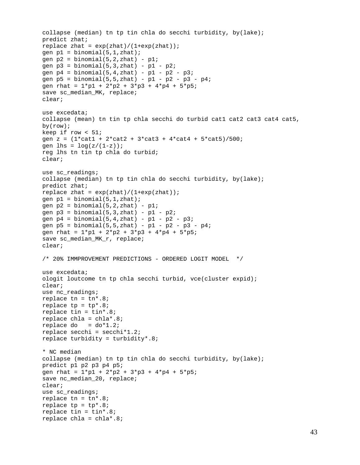```
collapse (median) tn tp tin chla do secchi turbidity, by(lake); 
predict zhat; 
replace zhat = exp(zhat)/(1+exp(zhat));
qen p1 = binomial(5, 1, zhat);
gen p2 = binomial(5, 2, zhat) - p1;
gen p3 = binomial(5,3,zhat) - p1 - p2;
gen p4 = binomial(5, 4, zhat) - p1 - p2 - p3;
qen p5 = binomial(5, 5, zhat) - p1 - p2 - p3 - p4;
gen rhat = 1*pi + 2*pi2 + 3*pi3 + 4*pi4 + 5*pi;
save sc_median_MK, replace; 
clear; 
use excedata; 
collapse (mean) tn tin tp chla secchi do turbid cat1 cat2 cat3 cat4 cat5, 
by(row); 
keep if row < 51; 
gen z = (1 * \text{cat1} + 2 * \text{cat2} + 3 * \text{cat3} + 4 * \text{cat4} + 5 * \text{cat5})/500;
gen lhs = log(z/(1-z));
reg lhs tn tin tp chla do turbid; 
clear; 
use sc_readings; 
collapse (median) tn tp tin chla do secchi turbidity, by(lake); 
predict zhat; 
replace zhat = exp(zhat)/(1+exp(zhat));
gen p1 = binomial(5, 1, zhat);
gen p2 = binomial(5, 2, zhat) - p1;
qen p3 = binomial(5,3,zhat) - p1 - p2;
gen p4 = binomial(5, 4, zhat) - p1 - p2 - p3;
gen p5 = binomial(5, 5, zhat) - p1 - p2 - p3 - p4;
gen rhat = 1*pi + 2*pi2 + 3*pi3 + 4*pi4 + 5*pi;
save sc_median_MK_r, replace; 
clear; 
/* 20% IMMPROVEMENT PREDICTIONS - ORDERED LOGIT MODEL */ 
use excedata; 
ologit loutcome tn tp chla secchi turbid, vce(cluster expid); 
clear; 
use nc_readings; 
replace tn = tn* .8;replace tp = tp*.8;replace tin = tin*.8; 
replace chla = chla*.8; 
replace do = do*1.2;replace secchi = secchi*1.2; 
replace turbidity = turbidity*.8; 
* NC median 
collapse (median) tn tp tin chla do secchi turbidity, by(lake); 
predict p1 p2 p3 p4 p5; 
gen rhat = 1*pi + 2*pi2 + 3*pi3 + 4*pi4 + 5*pi;
save nc_median_20, replace; 
clear; 
use sc_readings; 
replace tn = tn*.8;replace tp = tp*.8;replace tin = \tan 8;
replace chla = chla*.8;
```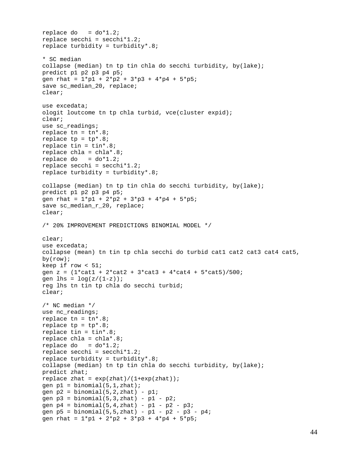```
replace do = do*1.2;
replace secchi = secchi*1.2; 
replace turbidity = turbidity*.8; 
* SC median 
collapse (median) tn tp tin chla do secchi turbidity, by(lake); 
predict p1 p2 p3 p4 p5; 
gen rhat = 1*pi + 2*pi2 + 3*pi3 + 4*pi4 + 5*pi;
save sc_median_20, replace; 
clear; 
use excedata; 
ologit loutcome tn tp chla turbid, vce(cluster expid); 
clear; 
use sc_readings; 
replace tn = tn* .8;replace tp = tp*.8;replace tin = \tan x.8;
replace chla = chla*.8; 
replace do = do*1.2;
replace secchi = secchi*1.2; 
replace turbidity = turbidity*.8; 
collapse (median) tn tp tin chla do secchi turbidity, by(lake); 
predict p1 p2 p3 p4 p5; 
gen rhat = 1*pi + 2*pi2 + 3*pi3 + 4*pi4 + 5*pi;
save sc_median_r_20, replace;
clear; 
/* 20% IMPROVEMENT PREDICTIONS BINOMIAL MODEL */ 
clear; 
use excedata; 
collapse (mean) tn tin tp chla secchi do turbid cat1 cat2 cat3 cat4 cat5, 
by(row); 
keep if row < 51; 
gen z = (1 * \text{cat1} + 2 * \text{cat2} + 3 * \text{cat3} + 4 * \text{cat4} + 5 * \text{cat5})/500;
gen lhs = log(z/(1-z));
reg lhs tn tin tp chla do secchi turbid; 
clear; 
/* NC median */ 
use nc_readings; 
replace tn = tn*.8; 
replace tp = tp*.8;replace tin = \tan x.8;
replace chla = chla*.8; 
replace do = do*1.2;
replace secchi = secchi*1.2; 
replace turbidity = turbidity*.8; 
collapse (median) tn tp tin chla do secchi turbidity, by(lake); 
predict zhat; 
replace zhat = exp(zhat)/(1+exp(zhat));
qen p1 = binomial(5, 1, zhat);
qen p2 = binomial(5, 2, zhat) - p1;
gen p3 = binomial(5,3,zhat) - p1 - p2;
gen p4 = binomial(5, 4, zhat) - p1 - p2 - p3;
gen p5 = binomial(5, 5, zhat) - p1 - p2 - p3 - p4;
gen rhat = 1*pi + 2*pi2 + 3*pi3 + 4*pi4 + 5*pi;
```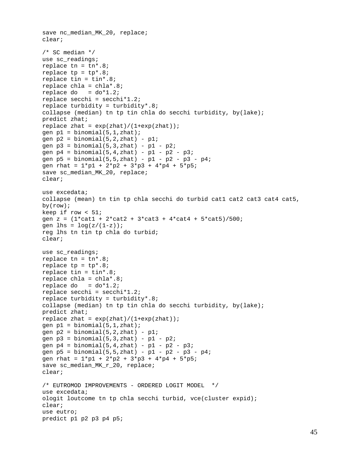```
save nc_median_MK_20, replace; 
clear; 
/* SC median */ 
use sc_readings; 
replace tn = tn* .8;replace tp = tp*.8;replace tin = \tan x.8;
replace chla = chla*.8; 
replace do = do*1.2;
replace secchi = secchi*1.2; 
replace turbidity = turbidity*.8; 
collapse (median) tn tp tin chla do secchi turbidity, by(lake); 
predict zhat; 
replace zhat = exp(zhat)/(1+exp(zhat));
gen p1 = binomial(5, 1, zhat);
gen p2 = binomial(5, 2, zhat) - p1;
qen p3 = binomial(5, 3, zhat) - p1 - p2;
gen p4 = binomial(5, 4, zhat) - p1 - p2 - p3;
gen p5 = binomial(5, 5, zhat) - p1 - p2 - p3 - p4;
gen rhat = 1*pi + 2*pi2 + 3*pi3 + 4*pi4 + 5*pi3;
save sc_median_MK_20, replace; 
clear; 
use excedata; 
collapse (mean) tn tin tp chla secchi do turbid cat1 cat2 cat3 cat4 cat5, 
by(row); 
keep if row < 51; 
gen z = (1*cat1 + 2*cat2 + 3*cat3 + 4*cat4 + 5*cat5)/500;
gen lhs = log(z/(1-z));
reg lhs tn tin tp chla do turbid; 
clear; 
use sc_readings; 
replace tn = tn*.8;replace tp = tp*.8;replace tin = \tan x.8;
replace chla = chla*.8; 
replace do = do*1.2;
replace secchi = secchi*1.2; 
replace turbidity = turbidity*.8; 
collapse (median) tn tp tin chla do secchi turbidity, by(lake); 
predict zhat; 
replace zhat = exp(zhat)/(1+exp(zhat));
gen p1 = binomial(5, 1, zhat);
gen p2 = binomial(5, 2, zhat) - p1;
gen p3 = binomial(5,3,zhat) - p1 - p2;
gen p4 = binomial(5, 4, zhat) - p1 - p2 - p3;
gen p5 = binomial(5, 5, zhat) - p1 - p2 - p3 - p4;
gen rhat = 1*pi + 2*pi + 3*pi + 4*pi + 5*pi;
save sc_median_MK_r_20, replace; 
clear; 
/* EUTROMOD IMPROVEMENTS - ORDERED LOGIT MODEL */
use excedata; 
ologit loutcome tn tp chla secchi turbid, vce(cluster expid); 
clear; 
use eutro; 
predict p1 p2 p3 p4 p5;
```